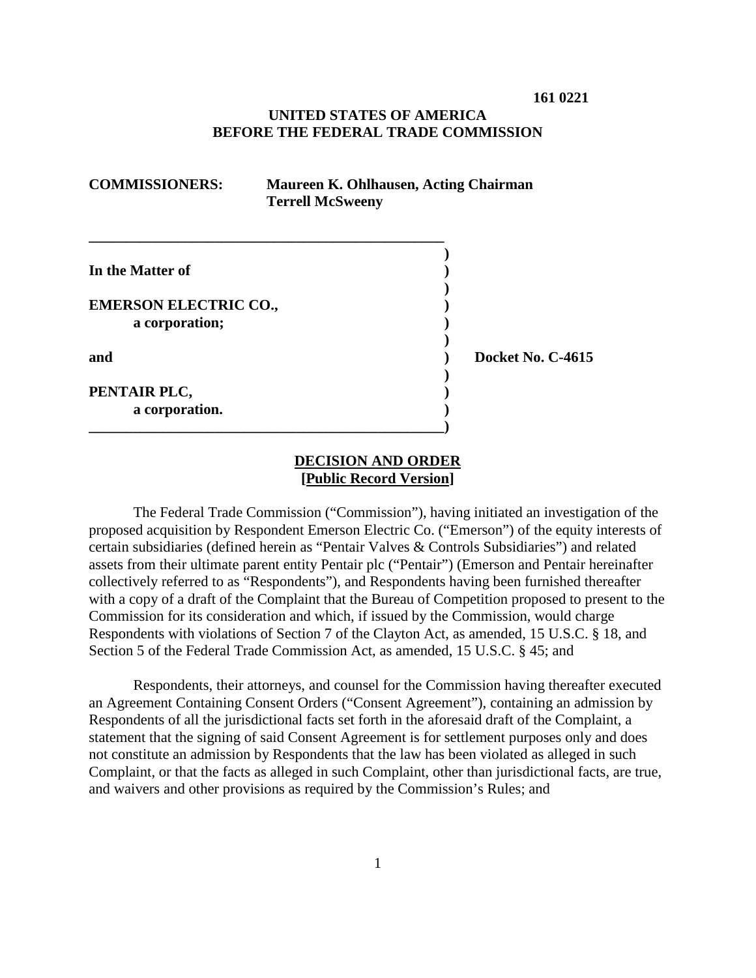**161 0221**

# **UNITED STATES OF AMERICA BEFORE THE FEDERAL TRADE COMMISSION**

| <b>COMMISSIONERS:</b>                          | Maureen K. Ohlhausen, Acting Chairman<br><b>Terrell McSweeny</b> |                   |  |
|------------------------------------------------|------------------------------------------------------------------|-------------------|--|
| In the Matter of                               |                                                                  |                   |  |
| <b>EMERSON ELECTRIC CO.,</b><br>a corporation; |                                                                  |                   |  |
| and                                            |                                                                  | Docket No. C-4615 |  |
| PENTAIR PLC,<br>a corporation.                 |                                                                  |                   |  |

# **DECISION AND ORDER [Public Record Version]**

The Federal Trade Commission ("Commission"), having initiated an investigation of the proposed acquisition by Respondent Emerson Electric Co. ("Emerson") of the equity interests of certain subsidiaries (defined herein as "Pentair Valves & Controls Subsidiaries") and related assets from their ultimate parent entity Pentair plc ("Pentair") (Emerson and Pentair hereinafter collectively referred to as "Respondents"), and Respondents having been furnished thereafter with a copy of a draft of the Complaint that the Bureau of Competition proposed to present to the Commission for its consideration and which, if issued by the Commission, would charge Respondents with violations of Section 7 of the Clayton Act, as amended, 15 U.S.C. § 18, and Section 5 of the Federal Trade Commission Act, as amended, 15 U.S.C. § 45; and

Respondents, their attorneys, and counsel for the Commission having thereafter executed an Agreement Containing Consent Orders ("Consent Agreement"), containing an admission by Respondents of all the jurisdictional facts set forth in the aforesaid draft of the Complaint, a statement that the signing of said Consent Agreement is for settlement purposes only and does not constitute an admission by Respondents that the law has been violated as alleged in such Complaint, or that the facts as alleged in such Complaint, other than jurisdictional facts, are true, and waivers and other provisions as required by the Commission's Rules; and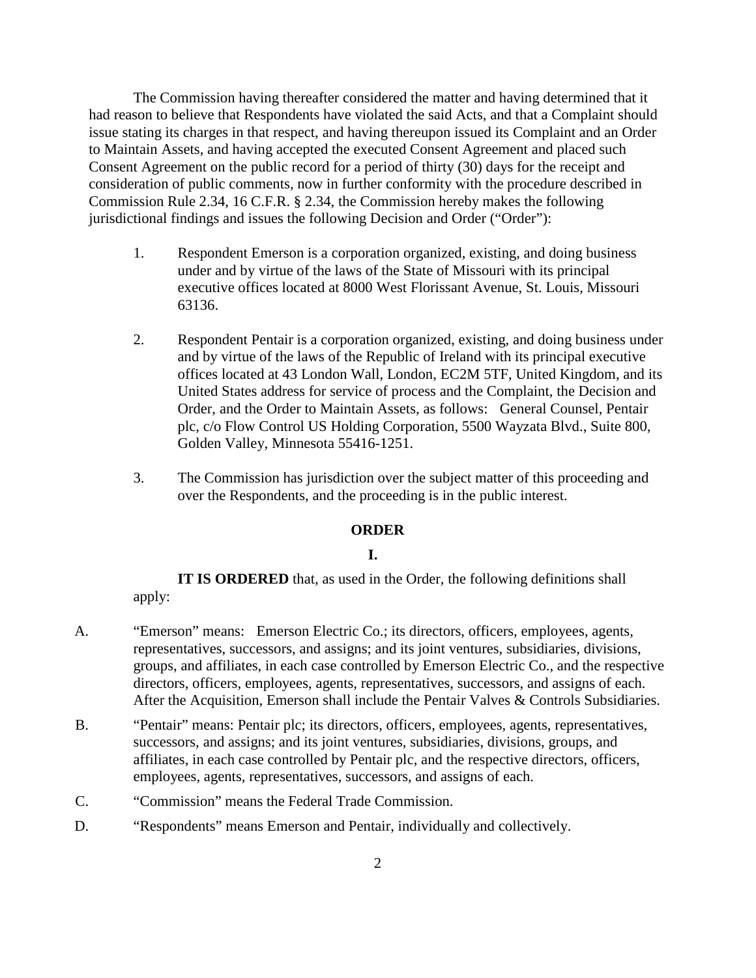The Commission having thereafter considered the matter and having determined that it had reason to believe that Respondents have violated the said Acts, and that a Complaint should issue stating its charges in that respect, and having thereupon issued its Complaint and an Order to Maintain Assets, and having accepted the executed Consent Agreement and placed such Consent Agreement on the public record for a period of thirty (30) days for the receipt and consideration of public comments, now in further conformity with the procedure described in Commission Rule 2.34, 16 C.F.R. § 2.34, the Commission hereby makes the following jurisdictional findings and issues the following Decision and Order ("Order"):

- 1. Respondent Emerson is a corporation organized, existing, and doing business under and by virtue of the laws of the State of Missouri with its principal executive offices located at 8000 West Florissant Avenue, St. Louis, Missouri 63136.
- 2. Respondent Pentair is a corporation organized, existing, and doing business under and by virtue of the laws of the Republic of Ireland with its principal executive offices located at 43 London Wall, London, EC2M 5TF, United Kingdom, and its United States address for service of process and the Complaint, the Decision and Order, and the Order to Maintain Assets, as follows: General Counsel, Pentair plc, c/o Flow Control US Holding Corporation, 5500 Wayzata Blvd., Suite 800, Golden Valley, Minnesota 55416-1251.
- 3. The Commission has jurisdiction over the subject matter of this proceeding and over the Respondents, and the proceeding is in the public interest.

# **ORDER**

### **I.**

**IT IS ORDERED** that, as used in the Order, the following definitions shall apply:

- A. "Emerson" means: Emerson Electric Co.; its directors, officers, employees, agents, representatives, successors, and assigns; and its joint ventures, subsidiaries, divisions, groups, and affiliates, in each case controlled by Emerson Electric Co., and the respective directors, officers, employees, agents, representatives, successors, and assigns of each. After the Acquisition, Emerson shall include the Pentair Valves & Controls Subsidiaries.
- B. "Pentair" means: Pentair plc; its directors, officers, employees, agents, representatives, successors, and assigns; and its joint ventures, subsidiaries, divisions, groups, and affiliates, in each case controlled by Pentair plc, and the respective directors, officers, employees, agents, representatives, successors, and assigns of each.
- C. "Commission" means the Federal Trade Commission.
- D. "Respondents" means Emerson and Pentair, individually and collectively.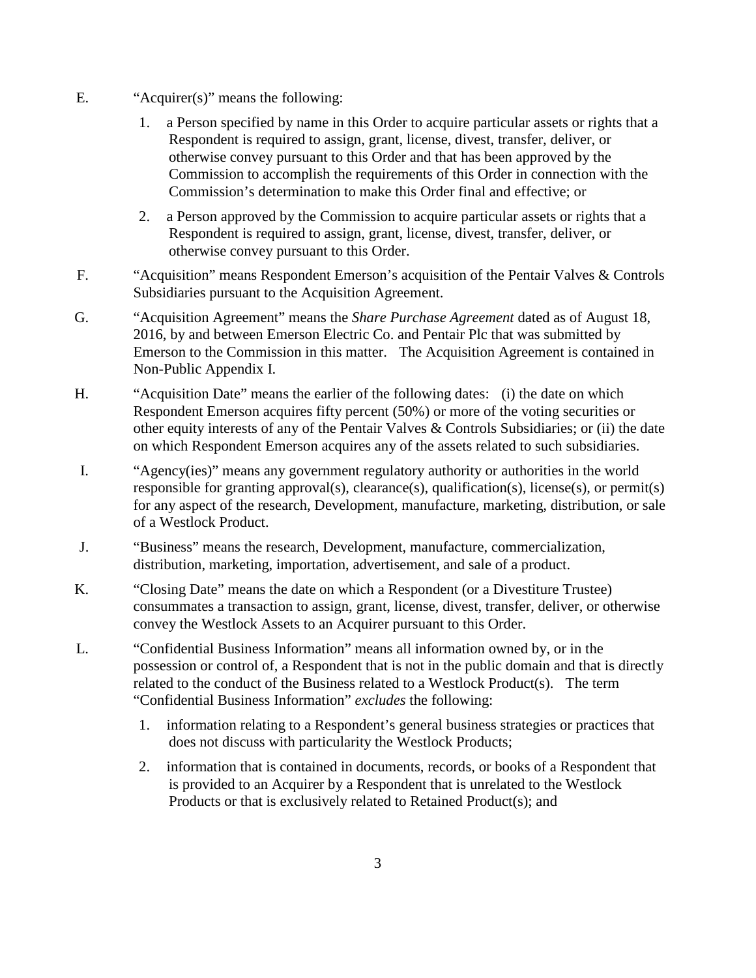- E. "Acquirer(s)" means the following:
	- 1. a Person specified by name in this Order to acquire particular assets or rights that a Respondent is required to assign, grant, license, divest, transfer, deliver, or otherwise convey pursuant to this Order and that has been approved by the Commission to accomplish the requirements of this Order in connection with the Commission's determination to make this Order final and effective; or
	- 2. a Person approved by the Commission to acquire particular assets or rights that a Respondent is required to assign, grant, license, divest, transfer, deliver, or otherwise convey pursuant to this Order.
- F. "Acquisition" means Respondent Emerson's acquisition of the Pentair Valves & Controls Subsidiaries pursuant to the Acquisition Agreement.
- G. "Acquisition Agreement" means the *Share Purchase Agreement* dated as of August 18, 2016, by and between Emerson Electric Co. and Pentair Plc that was submitted by Emerson to the Commission in this matter. The Acquisition Agreement is contained in Non-Public Appendix I.
- H. "Acquisition Date" means the earlier of the following dates: (i) the date on which Respondent Emerson acquires fifty percent (50%) or more of the voting securities or other equity interests of any of the Pentair Valves  $\&$  Controls Subsidiaries; or (ii) the date on which Respondent Emerson acquires any of the assets related to such subsidiaries.
- I. "Agency(ies)" means any government regulatory authority or authorities in the world responsible for granting approval(s), clearance(s), qualification(s), license(s), or permit(s) for any aspect of the research, Development, manufacture, marketing, distribution, or sale of a Westlock Product.
- J. "Business" means the research, Development, manufacture, commercialization, distribution, marketing, importation, advertisement, and sale of a product.
- K. "Closing Date" means the date on which a Respondent (or a Divestiture Trustee) consummates a transaction to assign, grant, license, divest, transfer, deliver, or otherwise convey the Westlock Assets to an Acquirer pursuant to this Order.
- L. "Confidential Business Information" means all information owned by, or in the possession or control of, a Respondent that is not in the public domain and that is directly related to the conduct of the Business related to a Westlock Product(s). The term "Confidential Business Information" *excludes* the following:
	- 1. information relating to a Respondent's general business strategies or practices that does not discuss with particularity the Westlock Products;
	- 2. information that is contained in documents, records, or books of a Respondent that is provided to an Acquirer by a Respondent that is unrelated to the Westlock Products or that is exclusively related to Retained Product(s); and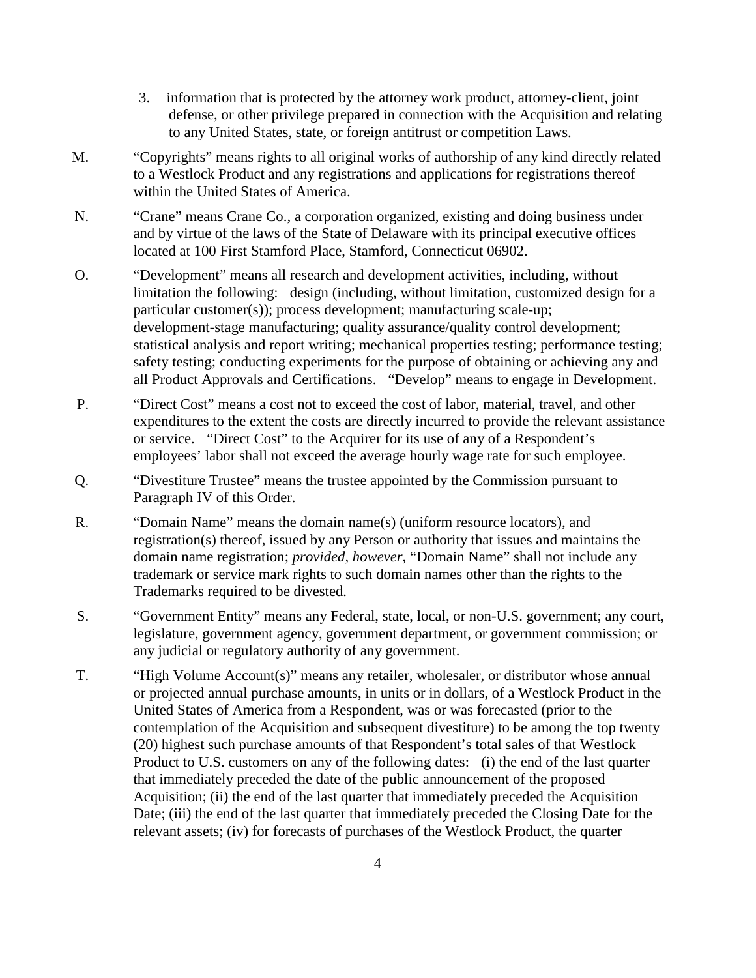- 3. information that is protected by the attorney work product, attorney-client, joint defense, or other privilege prepared in connection with the Acquisition and relating to any United States, state, or foreign antitrust or competition Laws.
- M. "Copyrights" means rights to all original works of authorship of any kind directly related to a Westlock Product and any registrations and applications for registrations thereof within the United States of America.
- N. "Crane" means Crane Co., a corporation organized, existing and doing business under and by virtue of the laws of the State of Delaware with its principal executive offices located at 100 First Stamford Place, Stamford, Connecticut 06902.
- O. "Development" means all research and development activities, including, without limitation the following: design (including, without limitation, customized design for a particular customer(s)); process development; manufacturing scale-up; development-stage manufacturing; quality assurance/quality control development; statistical analysis and report writing; mechanical properties testing; performance testing; safety testing; conducting experiments for the purpose of obtaining or achieving any and all Product Approvals and Certifications. "Develop" means to engage in Development.
- P. "Direct Cost" means a cost not to exceed the cost of labor, material, travel, and other expenditures to the extent the costs are directly incurred to provide the relevant assistance or service. "Direct Cost" to the Acquirer for its use of any of a Respondent's employees' labor shall not exceed the average hourly wage rate for such employee.
- Q. "Divestiture Trustee" means the trustee appointed by the Commission pursuant to Paragraph IV of this Order.
- R. "Domain Name" means the domain name(s) (uniform resource locators), and registration(s) thereof, issued by any Person or authority that issues and maintains the domain name registration; *provided, however*, "Domain Name" shall not include any trademark or service mark rights to such domain names other than the rights to the Trademarks required to be divested.
- S. "Government Entity" means any Federal, state, local, or non-U.S. government; any court, legislature, government agency, government department, or government commission; or any judicial or regulatory authority of any government.
- T. "High Volume Account(s)" means any retailer, wholesaler, or distributor whose annual or projected annual purchase amounts, in units or in dollars, of a Westlock Product in the United States of America from a Respondent, was or was forecasted (prior to the contemplation of the Acquisition and subsequent divestiture) to be among the top twenty (20) highest such purchase amounts of that Respondent's total sales of that Westlock Product to U.S. customers on any of the following dates: (i) the end of the last quarter that immediately preceded the date of the public announcement of the proposed Acquisition; (ii) the end of the last quarter that immediately preceded the Acquisition Date; (iii) the end of the last quarter that immediately preceded the Closing Date for the relevant assets; (iv) for forecasts of purchases of the Westlock Product, the quarter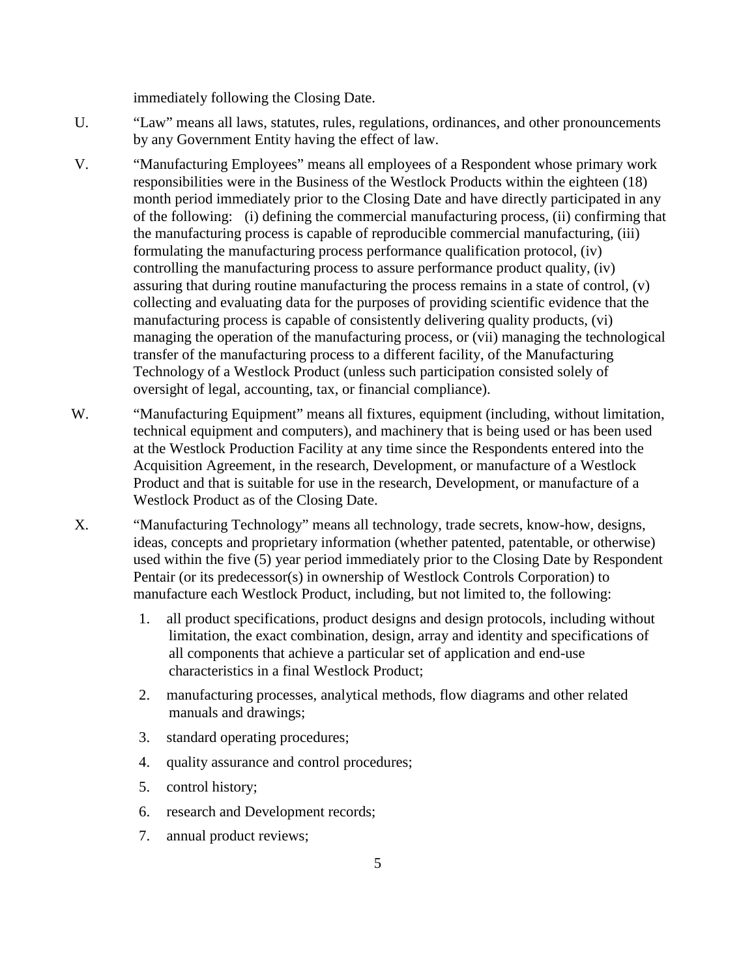immediately following the Closing Date.

- U. "Law" means all laws, statutes, rules, regulations, ordinances, and other pronouncements by any Government Entity having the effect of law.
- V. "Manufacturing Employees" means all employees of a Respondent whose primary work responsibilities were in the Business of the Westlock Products within the eighteen (18) month period immediately prior to the Closing Date and have directly participated in any of the following: (i) defining the commercial manufacturing process, (ii) confirming that the manufacturing process is capable of reproducible commercial manufacturing, (iii) formulating the manufacturing process performance qualification protocol, (iv) controlling the manufacturing process to assure performance product quality, (iv) assuring that during routine manufacturing the process remains in a state of control, (v) collecting and evaluating data for the purposes of providing scientific evidence that the manufacturing process is capable of consistently delivering quality products, (vi) managing the operation of the manufacturing process, or (vii) managing the technological transfer of the manufacturing process to a different facility, of the Manufacturing Technology of a Westlock Product (unless such participation consisted solely of oversight of legal, accounting, tax, or financial compliance).
- W. "Manufacturing Equipment" means all fixtures, equipment (including, without limitation, technical equipment and computers), and machinery that is being used or has been used at the Westlock Production Facility at any time since the Respondents entered into the Acquisition Agreement, in the research, Development, or manufacture of a Westlock Product and that is suitable for use in the research, Development, or manufacture of a Westlock Product as of the Closing Date.
- X. "Manufacturing Technology" means all technology, trade secrets, know-how, designs, ideas, concepts and proprietary information (whether patented, patentable, or otherwise) used within the five (5) year period immediately prior to the Closing Date by Respondent Pentair (or its predecessor(s) in ownership of Westlock Controls Corporation) to manufacture each Westlock Product, including, but not limited to, the following:
	- 1. all product specifications, product designs and design protocols, including without limitation, the exact combination, design, array and identity and specifications of all components that achieve a particular set of application and end-use characteristics in a final Westlock Product;
	- 2. manufacturing processes, analytical methods, flow diagrams and other related manuals and drawings;
	- 3. standard operating procedures;
	- 4. quality assurance and control procedures;
	- 5. control history;
	- 6. research and Development records;
	- 7. annual product reviews;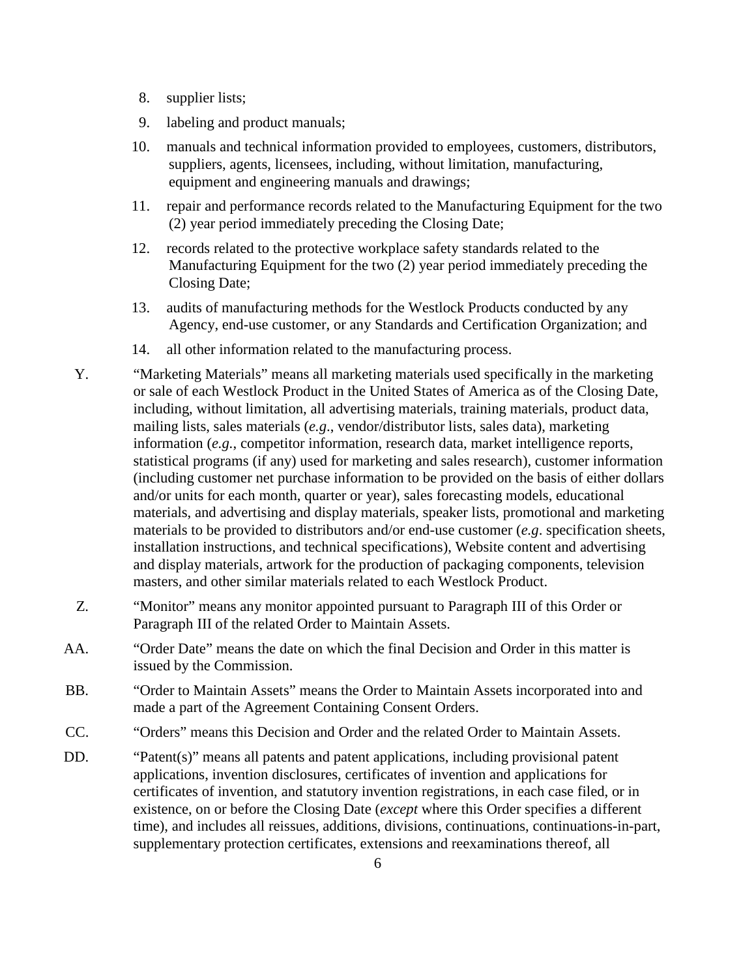- 8. supplier lists;
- 9. labeling and product manuals;
- 10. manuals and technical information provided to employees, customers, distributors, suppliers, agents, licensees, including, without limitation, manufacturing, equipment and engineering manuals and drawings;
- 11. repair and performance records related to the Manufacturing Equipment for the two (2) year period immediately preceding the Closing Date;
- 12. records related to the protective workplace safety standards related to the Manufacturing Equipment for the two (2) year period immediately preceding the Closing Date;
- 13. audits of manufacturing methods for the Westlock Products conducted by any Agency, end-use customer, or any Standards and Certification Organization; and
- 14. all other information related to the manufacturing process.
- Y. "Marketing Materials" means all marketing materials used specifically in the marketing or sale of each Westlock Product in the United States of America as of the Closing Date, including, without limitation, all advertising materials, training materials, product data, mailing lists, sales materials (*e.g*., vendor/distributor lists, sales data), marketing information (*e.g.*, competitor information, research data, market intelligence reports, statistical programs (if any) used for marketing and sales research), customer information (including customer net purchase information to be provided on the basis of either dollars and/or units for each month, quarter or year), sales forecasting models, educational materials, and advertising and display materials, speaker lists, promotional and marketing materials to be provided to distributors and/or end-use customer (*e.g*. specification sheets, installation instructions, and technical specifications), Website content and advertising and display materials, artwork for the production of packaging components, television masters, and other similar materials related to each Westlock Product.
- Z. "Monitor" means any monitor appointed pursuant to Paragraph III of this Order or Paragraph III of the related Order to Maintain Assets.
- AA. "Order Date" means the date on which the final Decision and Order in this matter is issued by the Commission.
- BB. "Order to Maintain Assets" means the Order to Maintain Assets incorporated into and made a part of the Agreement Containing Consent Orders.
- CC. "Orders" means this Decision and Order and the related Order to Maintain Assets.
- DD. "Patent(s)" means all patents and patent applications, including provisional patent applications, invention disclosures, certificates of invention and applications for certificates of invention, and statutory invention registrations, in each case filed, or in existence, on or before the Closing Date (*except* where this Order specifies a different time), and includes all reissues, additions, divisions, continuations, continuations-in-part, supplementary protection certificates, extensions and reexaminations thereof, all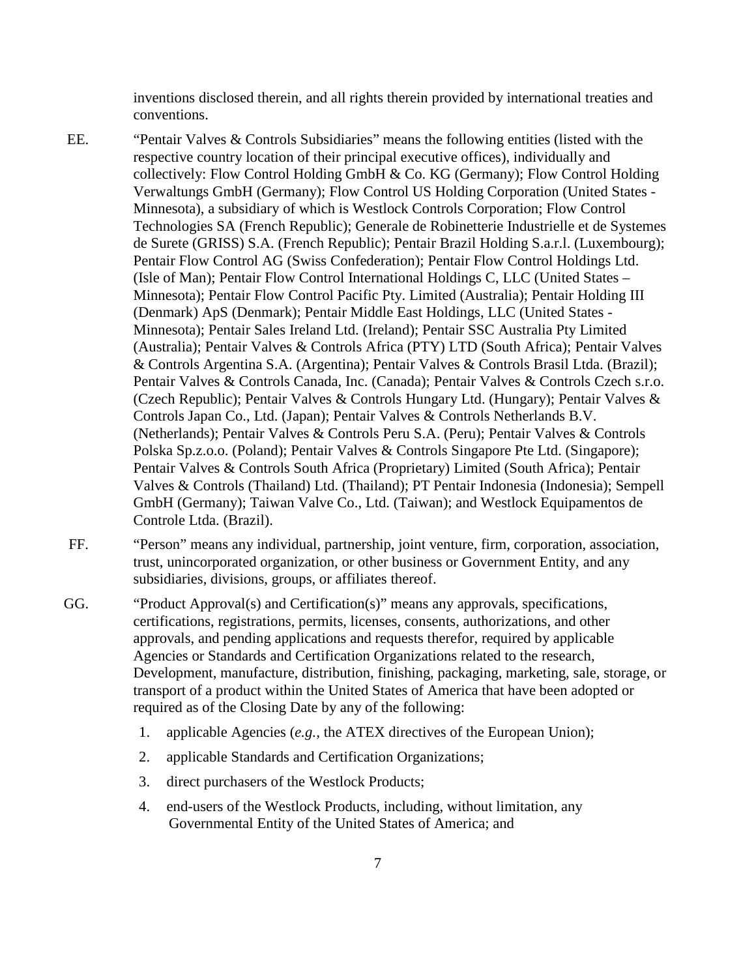inventions disclosed therein, and all rights therein provided by international treaties and conventions.

- EE. "Pentair Valves & Controls Subsidiaries" means the following entities (listed with the respective country location of their principal executive offices), individually and collectively: Flow Control Holding GmbH & Co. KG (Germany); Flow Control Holding Verwaltungs GmbH (Germany); Flow Control US Holding Corporation (United States - Minnesota), a subsidiary of which is Westlock Controls Corporation; Flow Control Technologies SA (French Republic); Generale de Robinetterie Industrielle et de Systemes de Surete (GRISS) S.A. (French Republic); Pentair Brazil Holding S.a.r.l. (Luxembourg); Pentair Flow Control AG (Swiss Confederation); Pentair Flow Control Holdings Ltd. (Isle of Man); Pentair Flow Control International Holdings C, LLC (United States – Minnesota); Pentair Flow Control Pacific Pty. Limited (Australia); Pentair Holding III (Denmark) ApS (Denmark); Pentair Middle East Holdings, LLC (United States - Minnesota); Pentair Sales Ireland Ltd. (Ireland); Pentair SSC Australia Pty Limited (Australia); Pentair Valves & Controls Africa (PTY) LTD (South Africa); Pentair Valves & Controls Argentina S.A. (Argentina); Pentair Valves & Controls Brasil Ltda. (Brazil); Pentair Valves & Controls Canada, Inc. (Canada); Pentair Valves & Controls Czech s.r.o. (Czech Republic); Pentair Valves & Controls Hungary Ltd. (Hungary); Pentair Valves & Controls Japan Co., Ltd. (Japan); Pentair Valves & Controls Netherlands B.V. (Netherlands); Pentair Valves & Controls Peru S.A. (Peru); Pentair Valves & Controls Polska Sp.z.o.o. (Poland); Pentair Valves & Controls Singapore Pte Ltd. (Singapore); Pentair Valves & Controls South Africa (Proprietary) Limited (South Africa); Pentair Valves & Controls (Thailand) Ltd. (Thailand); PT Pentair Indonesia (Indonesia); Sempell GmbH (Germany); Taiwan Valve Co., Ltd. (Taiwan); and Westlock Equipamentos de Controle Ltda. (Brazil).
- FF. "Person" means any individual, partnership, joint venture, firm, corporation, association, trust, unincorporated organization, or other business or Government Entity, and any subsidiaries, divisions, groups, or affiliates thereof.
- GG. "Product Approval(s) and Certification(s)" means any approvals, specifications, certifications, registrations, permits, licenses, consents, authorizations, and other approvals, and pending applications and requests therefor, required by applicable Agencies or Standards and Certification Organizations related to the research, Development, manufacture, distribution, finishing, packaging, marketing, sale, storage, or transport of a product within the United States of America that have been adopted or required as of the Closing Date by any of the following:
	- 1. applicable Agencies (*e.g.,* the ATEX directives of the European Union);
	- 2. applicable Standards and Certification Organizations;
	- 3. direct purchasers of the Westlock Products;
	- 4. end-users of the Westlock Products, including, without limitation, any Governmental Entity of the United States of America; and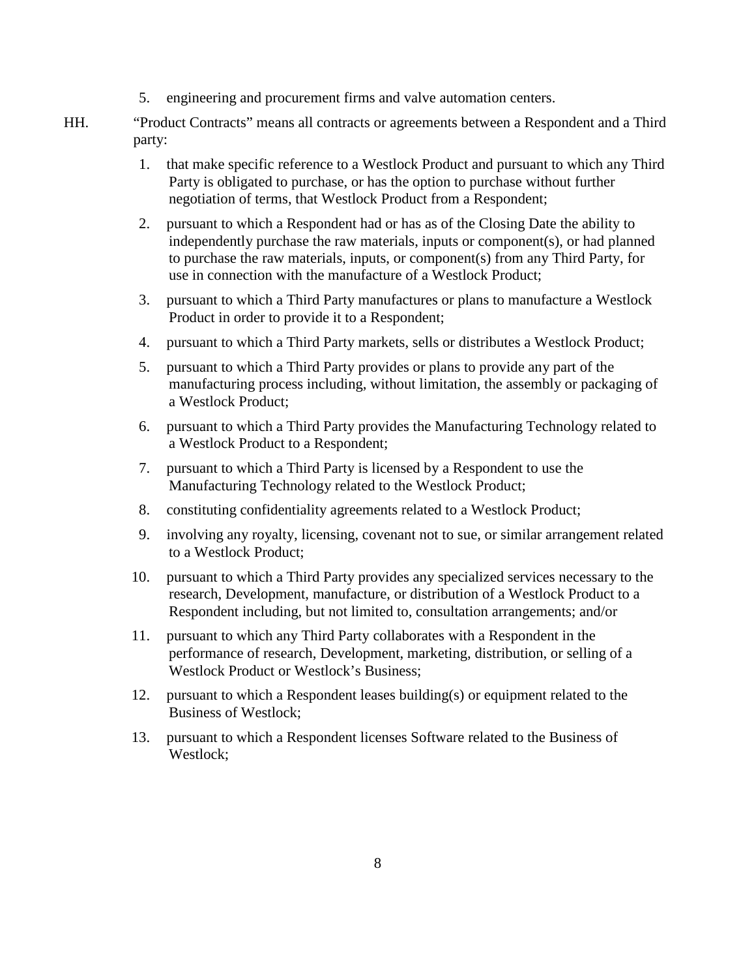- 5. engineering and procurement firms and valve automation centers.
- HH. "Product Contracts" means all contracts or agreements between a Respondent and a Third party:
	- 1. that make specific reference to a Westlock Product and pursuant to which any Third Party is obligated to purchase, or has the option to purchase without further negotiation of terms, that Westlock Product from a Respondent;
	- 2. pursuant to which a Respondent had or has as of the Closing Date the ability to independently purchase the raw materials, inputs or component(s), or had planned to purchase the raw materials, inputs, or component(s) from any Third Party, for use in connection with the manufacture of a Westlock Product;
	- 3. pursuant to which a Third Party manufactures or plans to manufacture a Westlock Product in order to provide it to a Respondent;
	- 4. pursuant to which a Third Party markets, sells or distributes a Westlock Product;
	- 5. pursuant to which a Third Party provides or plans to provide any part of the manufacturing process including, without limitation, the assembly or packaging of a Westlock Product;
	- 6. pursuant to which a Third Party provides the Manufacturing Technology related to a Westlock Product to a Respondent;
	- 7. pursuant to which a Third Party is licensed by a Respondent to use the Manufacturing Technology related to the Westlock Product;
	- 8. constituting confidentiality agreements related to a Westlock Product;
	- 9. involving any royalty, licensing, covenant not to sue, or similar arrangement related to a Westlock Product;
	- 10. pursuant to which a Third Party provides any specialized services necessary to the research, Development, manufacture, or distribution of a Westlock Product to a Respondent including, but not limited to, consultation arrangements; and/or
	- 11. pursuant to which any Third Party collaborates with a Respondent in the performance of research, Development, marketing, distribution, or selling of a Westlock Product or Westlock's Business;
	- 12. pursuant to which a Respondent leases building(s) or equipment related to the Business of Westlock;
	- 13. pursuant to which a Respondent licenses Software related to the Business of Westlock;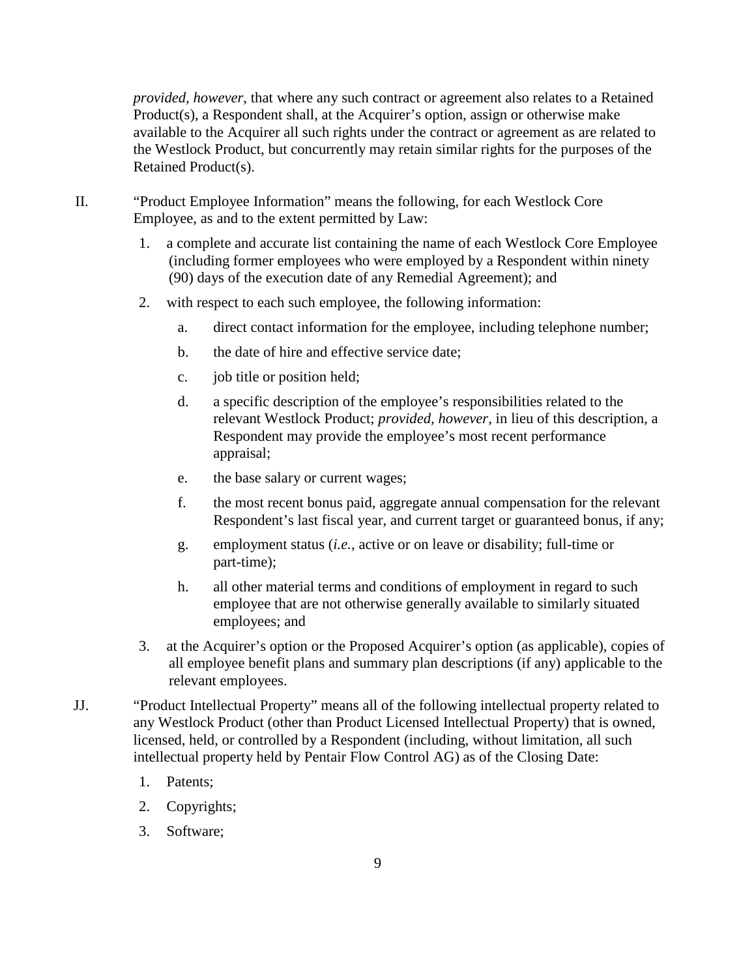*provided, however*, that where any such contract or agreement also relates to a Retained Product(s), a Respondent shall, at the Acquirer's option, assign or otherwise make available to the Acquirer all such rights under the contract or agreement as are related to the Westlock Product, but concurrently may retain similar rights for the purposes of the Retained Product(s).

- II. "Product Employee Information" means the following, for each Westlock Core Employee, as and to the extent permitted by Law:
	- 1. a complete and accurate list containing the name of each Westlock Core Employee (including former employees who were employed by a Respondent within ninety (90) days of the execution date of any Remedial Agreement); and
	- 2. with respect to each such employee, the following information:
		- a. direct contact information for the employee, including telephone number;
		- b. the date of hire and effective service date;
		- c. job title or position held;
		- d. a specific description of the employee's responsibilities related to the relevant Westlock Product; *provided, however*, in lieu of this description, a Respondent may provide the employee's most recent performance appraisal;
		- e. the base salary or current wages;
		- f. the most recent bonus paid, aggregate annual compensation for the relevant Respondent's last fiscal year, and current target or guaranteed bonus, if any;
		- g. employment status (*i.e.,* active or on leave or disability; full-time or part-time);
		- h. all other material terms and conditions of employment in regard to such employee that are not otherwise generally available to similarly situated employees; and
	- 3. at the Acquirer's option or the Proposed Acquirer's option (as applicable), copies of all employee benefit plans and summary plan descriptions (if any) applicable to the relevant employees.
- JJ. "Product Intellectual Property" means all of the following intellectual property related to any Westlock Product (other than Product Licensed Intellectual Property) that is owned, licensed, held, or controlled by a Respondent (including, without limitation, all such intellectual property held by Pentair Flow Control AG) as of the Closing Date:
	- 1. Patents;
	- 2. Copyrights;
	- 3. Software;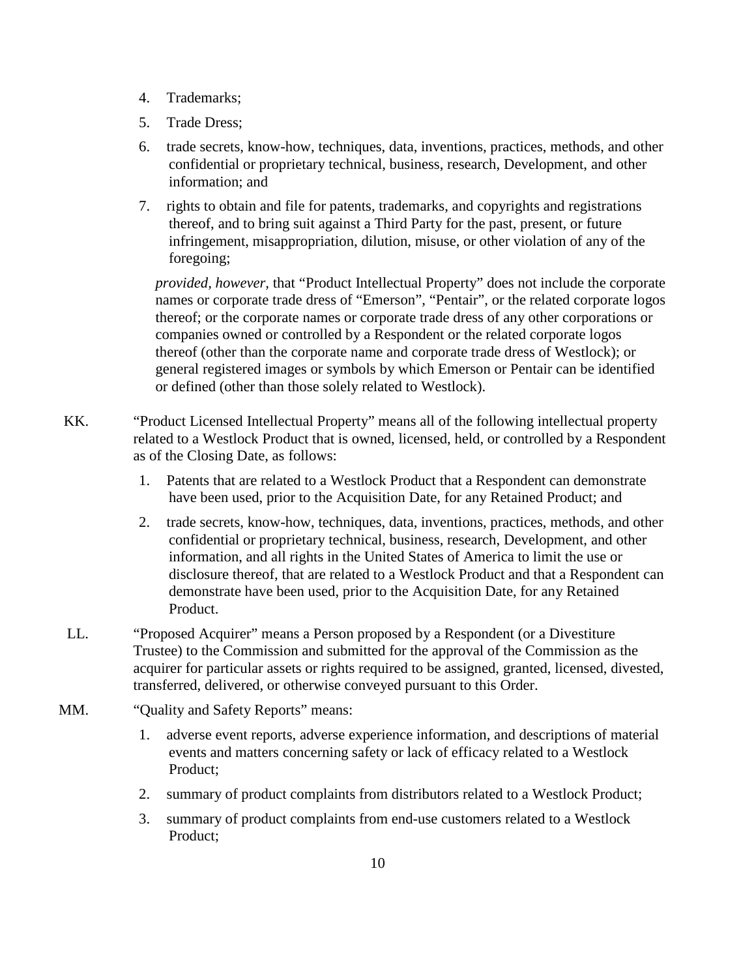- 4. Trademarks;
- 5. Trade Dress;
- 6. trade secrets, know-how, techniques, data, inventions, practices, methods, and other confidential or proprietary technical, business, research, Development, and other information; and
- 7. rights to obtain and file for patents, trademarks, and copyrights and registrations thereof, and to bring suit against a Third Party for the past, present, or future infringement, misappropriation, dilution, misuse, or other violation of any of the foregoing;

*provided, however,* that "Product Intellectual Property" does not include the corporate names or corporate trade dress of "Emerson", "Pentair", or the related corporate logos thereof; or the corporate names or corporate trade dress of any other corporations or companies owned or controlled by a Respondent or the related corporate logos thereof (other than the corporate name and corporate trade dress of Westlock); or general registered images or symbols by which Emerson or Pentair can be identified or defined (other than those solely related to Westlock).

- KK. "Product Licensed Intellectual Property" means all of the following intellectual property related to a Westlock Product that is owned, licensed, held, or controlled by a Respondent as of the Closing Date, as follows:
	- 1. Patents that are related to a Westlock Product that a Respondent can demonstrate have been used, prior to the Acquisition Date, for any Retained Product; and
	- 2. trade secrets, know-how, techniques, data, inventions, practices, methods, and other confidential or proprietary technical, business, research, Development, and other information, and all rights in the United States of America to limit the use or disclosure thereof, that are related to a Westlock Product and that a Respondent can demonstrate have been used, prior to the Acquisition Date, for any Retained Product.
- LL. "Proposed Acquirer" means a Person proposed by a Respondent (or a Divestiture Trustee) to the Commission and submitted for the approval of the Commission as the acquirer for particular assets or rights required to be assigned, granted, licensed, divested, transferred, delivered, or otherwise conveyed pursuant to this Order.
- MM. "Quality and Safety Reports" means:
	- 1. adverse event reports, adverse experience information, and descriptions of material events and matters concerning safety or lack of efficacy related to a Westlock Product;
	- 2. summary of product complaints from distributors related to a Westlock Product;
	- 3. summary of product complaints from end-use customers related to a Westlock Product;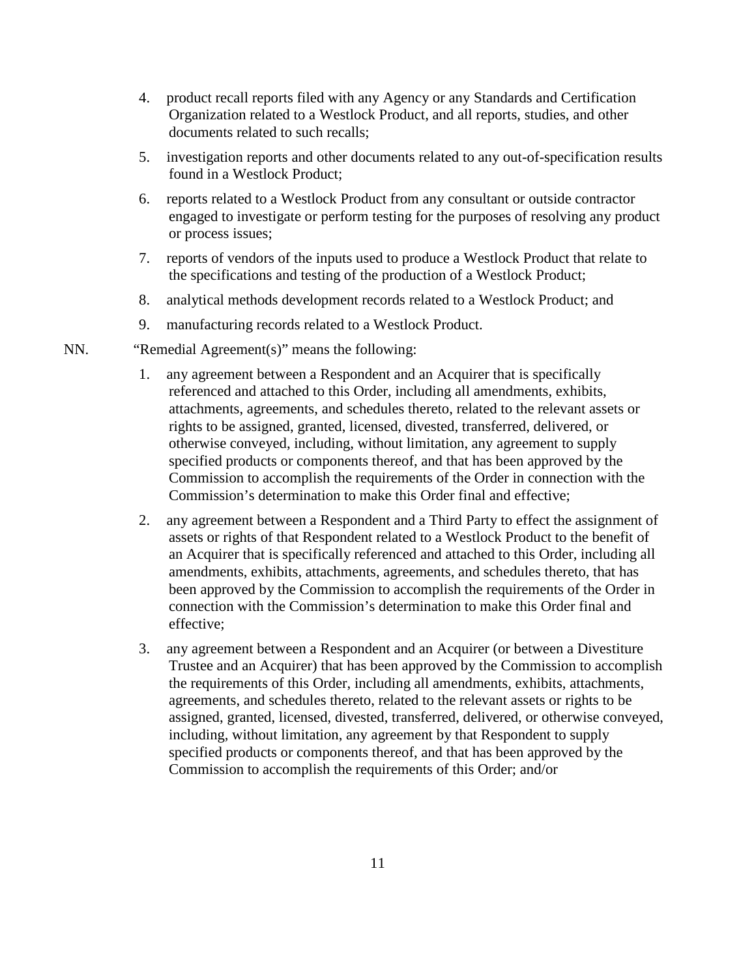- 4. product recall reports filed with any Agency or any Standards and Certification Organization related to a Westlock Product, and all reports, studies, and other documents related to such recalls;
- 5. investigation reports and other documents related to any out-of-specification results found in a Westlock Product;
- 6. reports related to a Westlock Product from any consultant or outside contractor engaged to investigate or perform testing for the purposes of resolving any product or process issues;
- 7. reports of vendors of the inputs used to produce a Westlock Product that relate to the specifications and testing of the production of a Westlock Product;
- 8. analytical methods development records related to a Westlock Product; and
- 9. manufacturing records related to a Westlock Product.
- NN. "Remedial Agreement(s)" means the following:
	- 1. any agreement between a Respondent and an Acquirer that is specifically referenced and attached to this Order, including all amendments, exhibits, attachments, agreements, and schedules thereto, related to the relevant assets or rights to be assigned, granted, licensed, divested, transferred, delivered, or otherwise conveyed, including, without limitation, any agreement to supply specified products or components thereof, and that has been approved by the Commission to accomplish the requirements of the Order in connection with the Commission's determination to make this Order final and effective;
	- 2. any agreement between a Respondent and a Third Party to effect the assignment of assets or rights of that Respondent related to a Westlock Product to the benefit of an Acquirer that is specifically referenced and attached to this Order, including all amendments, exhibits, attachments, agreements, and schedules thereto, that has been approved by the Commission to accomplish the requirements of the Order in connection with the Commission's determination to make this Order final and effective;
	- 3. any agreement between a Respondent and an Acquirer (or between a Divestiture Trustee and an Acquirer) that has been approved by the Commission to accomplish the requirements of this Order, including all amendments, exhibits, attachments, agreements, and schedules thereto, related to the relevant assets or rights to be assigned, granted, licensed, divested, transferred, delivered, or otherwise conveyed, including, without limitation, any agreement by that Respondent to supply specified products or components thereof, and that has been approved by the Commission to accomplish the requirements of this Order; and/or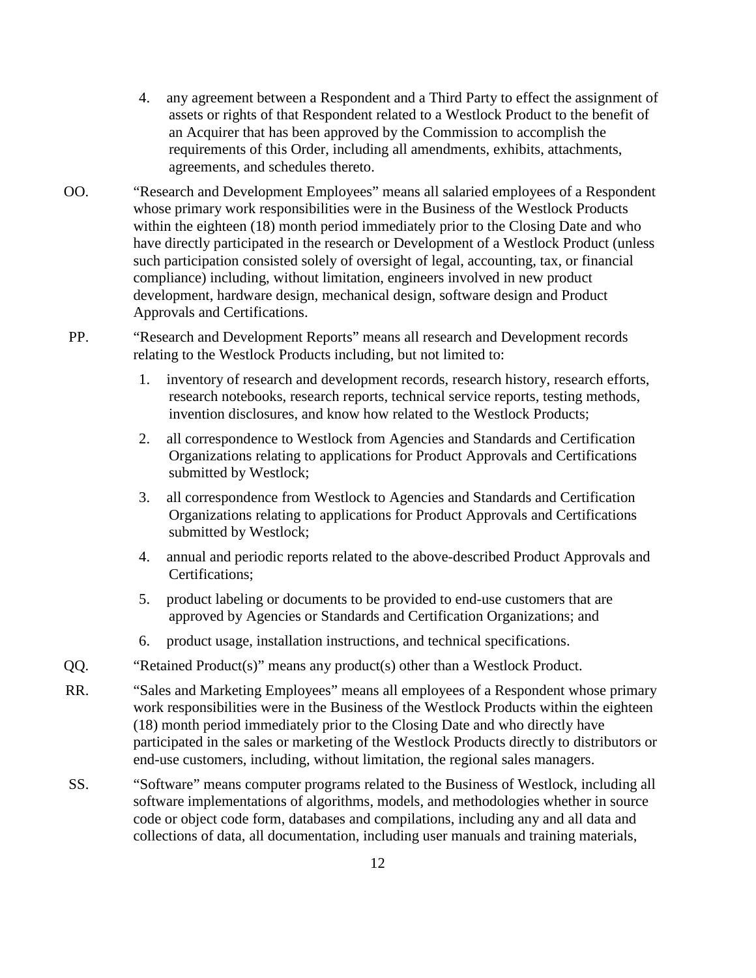- 4. any agreement between a Respondent and a Third Party to effect the assignment of assets or rights of that Respondent related to a Westlock Product to the benefit of an Acquirer that has been approved by the Commission to accomplish the requirements of this Order, including all amendments, exhibits, attachments, agreements, and schedules thereto.
- OO. "Research and Development Employees" means all salaried employees of a Respondent whose primary work responsibilities were in the Business of the Westlock Products within the eighteen (18) month period immediately prior to the Closing Date and who have directly participated in the research or Development of a Westlock Product (unless such participation consisted solely of oversight of legal, accounting, tax, or financial compliance) including, without limitation, engineers involved in new product development, hardware design, mechanical design, software design and Product Approvals and Certifications.
- PP. "Research and Development Reports" means all research and Development records relating to the Westlock Products including, but not limited to:
	- 1. inventory of research and development records, research history, research efforts, research notebooks, research reports, technical service reports, testing methods, invention disclosures, and know how related to the Westlock Products;
	- 2. all correspondence to Westlock from Agencies and Standards and Certification Organizations relating to applications for Product Approvals and Certifications submitted by Westlock;
	- 3. all correspondence from Westlock to Agencies and Standards and Certification Organizations relating to applications for Product Approvals and Certifications submitted by Westlock;
	- 4. annual and periodic reports related to the above-described Product Approvals and Certifications;
	- 5. product labeling or documents to be provided to end-use customers that are approved by Agencies or Standards and Certification Organizations; and
	- 6. product usage, installation instructions, and technical specifications.
- QQ. "Retained Product(s)" means any product(s) other than a Westlock Product.
- RR. "Sales and Marketing Employees" means all employees of a Respondent whose primary work responsibilities were in the Business of the Westlock Products within the eighteen (18) month period immediately prior to the Closing Date and who directly have participated in the sales or marketing of the Westlock Products directly to distributors or end-use customers, including, without limitation, the regional sales managers.
- SS. "Software" means computer programs related to the Business of Westlock, including all software implementations of algorithms, models, and methodologies whether in source code or object code form, databases and compilations, including any and all data and collections of data, all documentation, including user manuals and training materials,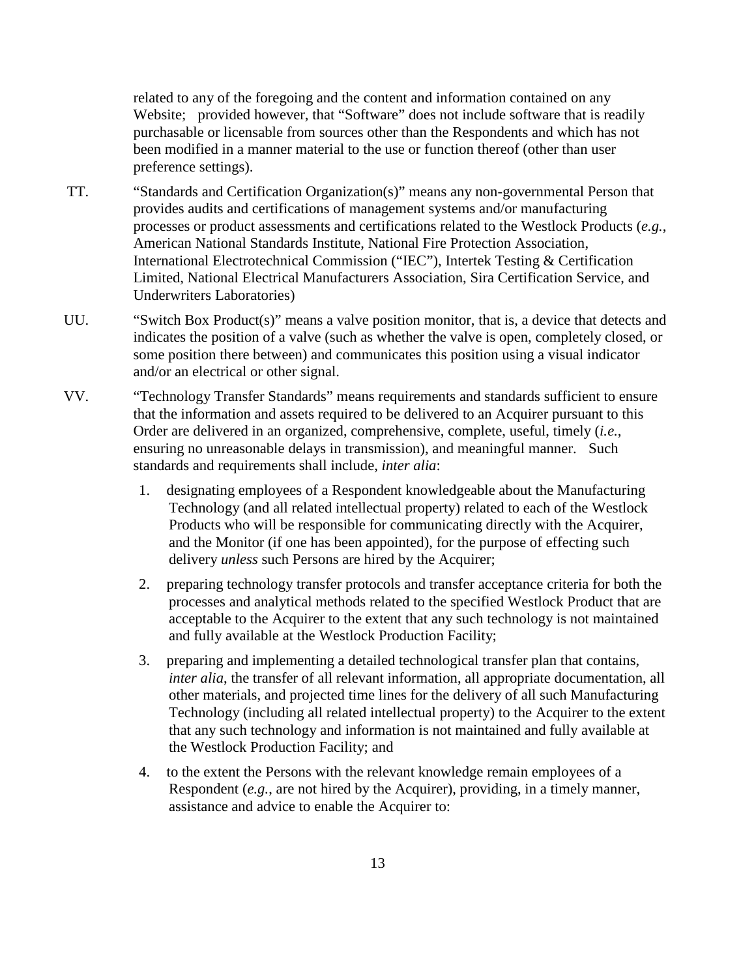related to any of the foregoing and the content and information contained on any Website; provided however, that "Software" does not include software that is readily purchasable or licensable from sources other than the Respondents and which has not been modified in a manner material to the use or function thereof (other than user preference settings).

- TT. "Standards and Certification Organization(s)" means any non-governmental Person that provides audits and certifications of management systems and/or manufacturing processes or product assessments and certifications related to the Westlock Products (*e.g.*, American National Standards Institute, National Fire Protection Association, International Electrotechnical Commission ("IEC"), Intertek Testing & Certification Limited, National Electrical Manufacturers Association, Sira Certification Service, and Underwriters Laboratories)
- UU. "Switch Box Product(s)" means a valve position monitor, that is, a device that detects and indicates the position of a valve (such as whether the valve is open, completely closed, or some position there between) and communicates this position using a visual indicator and/or an electrical or other signal.
- VV. "Technology Transfer Standards" means requirements and standards sufficient to ensure that the information and assets required to be delivered to an Acquirer pursuant to this Order are delivered in an organized, comprehensive, complete, useful, timely (*i.e.*, ensuring no unreasonable delays in transmission), and meaningful manner. Such standards and requirements shall include, *inter alia*:
	- 1. designating employees of a Respondent knowledgeable about the Manufacturing Technology (and all related intellectual property) related to each of the Westlock Products who will be responsible for communicating directly with the Acquirer, and the Monitor (if one has been appointed), for the purpose of effecting such delivery *unless* such Persons are hired by the Acquirer;
	- 2. preparing technology transfer protocols and transfer acceptance criteria for both the processes and analytical methods related to the specified Westlock Product that are acceptable to the Acquirer to the extent that any such technology is not maintained and fully available at the Westlock Production Facility;
	- 3. preparing and implementing a detailed technological transfer plan that contains, *inter alia*, the transfer of all relevant information, all appropriate documentation, all other materials, and projected time lines for the delivery of all such Manufacturing Technology (including all related intellectual property) to the Acquirer to the extent that any such technology and information is not maintained and fully available at the Westlock Production Facility; and
	- 4. to the extent the Persons with the relevant knowledge remain employees of a Respondent (*e.g.*, are not hired by the Acquirer), providing, in a timely manner, assistance and advice to enable the Acquirer to: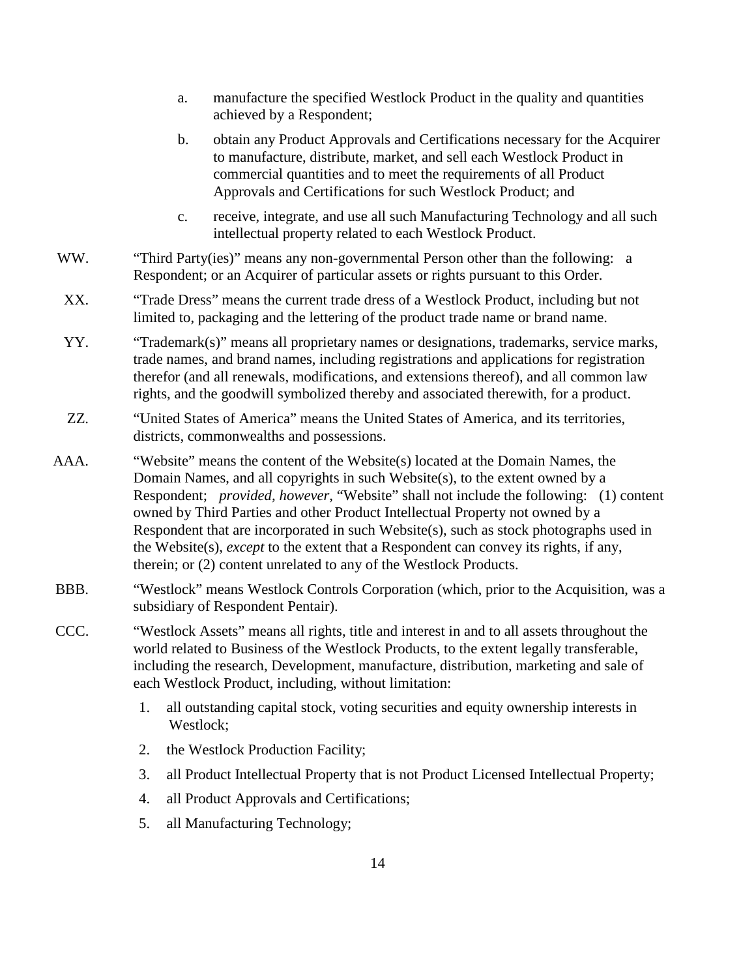- a. manufacture the specified Westlock Product in the quality and quantities achieved by a Respondent;
- b. obtain any Product Approvals and Certifications necessary for the Acquirer to manufacture, distribute, market, and sell each Westlock Product in commercial quantities and to meet the requirements of all Product Approvals and Certifications for such Westlock Product; and
- c. receive, integrate, and use all such Manufacturing Technology and all such intellectual property related to each Westlock Product.
- WW. "Third Party(ies)" means any non-governmental Person other than the following: a Respondent; or an Acquirer of particular assets or rights pursuant to this Order.
- XX. "Trade Dress" means the current trade dress of a Westlock Product, including but not limited to, packaging and the lettering of the product trade name or brand name.
- YY. "Trademark(s)" means all proprietary names or designations, trademarks, service marks, trade names, and brand names, including registrations and applications for registration therefor (and all renewals, modifications, and extensions thereof), and all common law rights, and the goodwill symbolized thereby and associated therewith, for a product.
- ZZ. "United States of America" means the United States of America, and its territories, districts, commonwealths and possessions.
- AAA. "Website" means the content of the Website(s) located at the Domain Names, the Domain Names, and all copyrights in such Website(s), to the extent owned by a Respondent; *provided, however,* "Website" shall not include the following: (1) content owned by Third Parties and other Product Intellectual Property not owned by a Respondent that are incorporated in such Website(s), such as stock photographs used in the Website(s), *except* to the extent that a Respondent can convey its rights, if any, therein; or (2) content unrelated to any of the Westlock Products.
- BBB. "Westlock" means Westlock Controls Corporation (which, prior to the Acquisition, was a subsidiary of Respondent Pentair).
- CCC. "Westlock Assets" means all rights, title and interest in and to all assets throughout the world related to Business of the Westlock Products, to the extent legally transferable, including the research, Development, manufacture, distribution, marketing and sale of each Westlock Product, including, without limitation:
	- 1. all outstanding capital stock, voting securities and equity ownership interests in Westlock;
	- 2. the Westlock Production Facility;
	- 3. all Product Intellectual Property that is not Product Licensed Intellectual Property;
	- 4. all Product Approvals and Certifications;
	- 5. all Manufacturing Technology;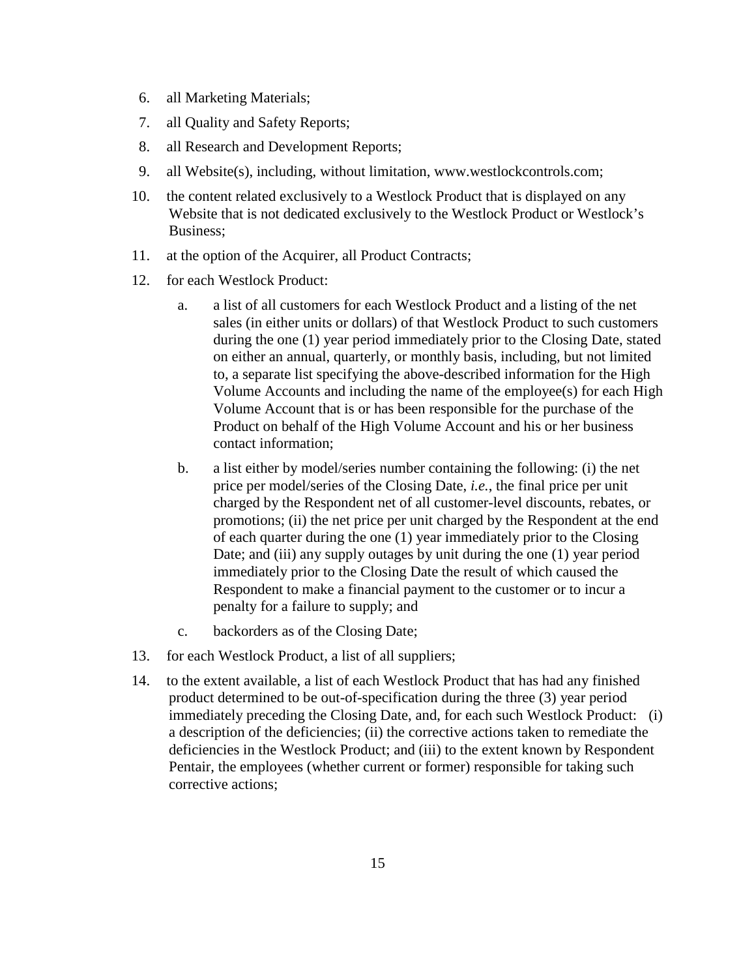- 6. all Marketing Materials;
- 7. all Quality and Safety Reports;
- 8. all Research and Development Reports;
- 9. all Website(s), including, without limitation, www.westlockcontrols.com;
- 10. the content related exclusively to a Westlock Product that is displayed on any Website that is not dedicated exclusively to the Westlock Product or Westlock's Business;
- 11. at the option of the Acquirer, all Product Contracts;
- 12. for each Westlock Product:
	- a. a list of all customers for each Westlock Product and a listing of the net sales (in either units or dollars) of that Westlock Product to such customers during the one (1) year period immediately prior to the Closing Date, stated on either an annual, quarterly, or monthly basis, including, but not limited to, a separate list specifying the above-described information for the High Volume Accounts and including the name of the employee(s) for each High Volume Account that is or has been responsible for the purchase of the Product on behalf of the High Volume Account and his or her business contact information;
	- b. a list either by model/series number containing the following: (i) the net price per model/series of the Closing Date, *i.e.*, the final price per unit charged by the Respondent net of all customer-level discounts, rebates, or promotions; (ii) the net price per unit charged by the Respondent at the end of each quarter during the one (1) year immediately prior to the Closing Date; and (iii) any supply outages by unit during the one (1) year period immediately prior to the Closing Date the result of which caused the Respondent to make a financial payment to the customer or to incur a penalty for a failure to supply; and
	- c. backorders as of the Closing Date;
- 13. for each Westlock Product, a list of all suppliers;
- 14. to the extent available, a list of each Westlock Product that has had any finished product determined to be out-of-specification during the three (3) year period immediately preceding the Closing Date, and, for each such Westlock Product: (i) a description of the deficiencies; (ii) the corrective actions taken to remediate the deficiencies in the Westlock Product; and (iii) to the extent known by Respondent Pentair, the employees (whether current or former) responsible for taking such corrective actions;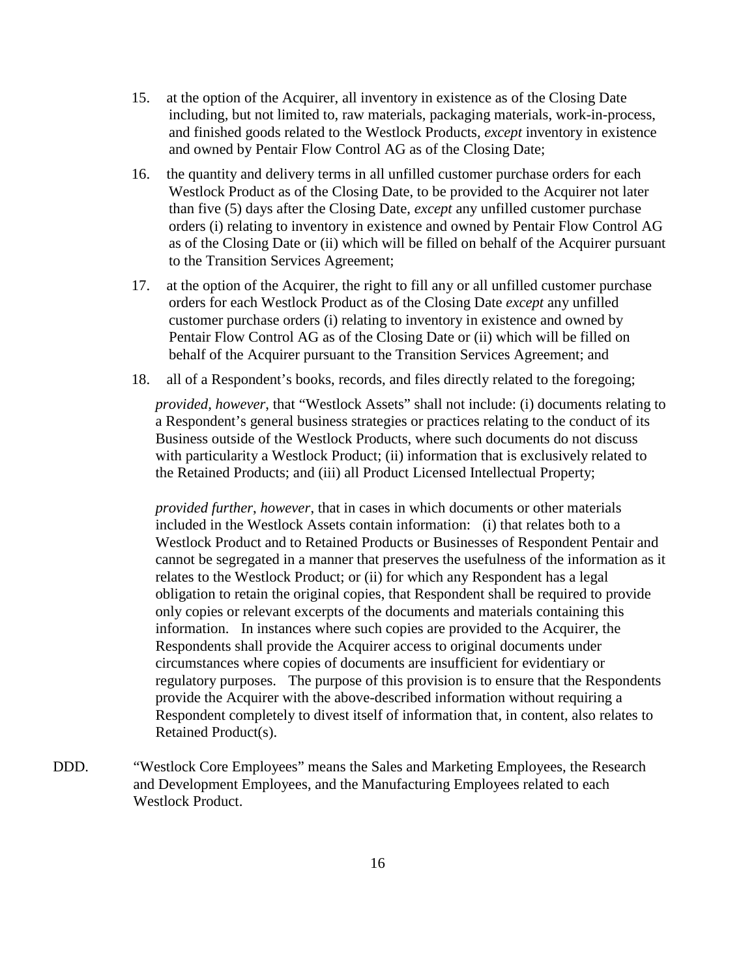- 15. at the option of the Acquirer, all inventory in existence as of the Closing Date including, but not limited to, raw materials, packaging materials, work-in-process, and finished goods related to the Westlock Products, *except* inventory in existence and owned by Pentair Flow Control AG as of the Closing Date;
- 16. the quantity and delivery terms in all unfilled customer purchase orders for each Westlock Product as of the Closing Date, to be provided to the Acquirer not later than five (5) days after the Closing Date, *except* any unfilled customer purchase orders (i) relating to inventory in existence and owned by Pentair Flow Control AG as of the Closing Date or (ii) which will be filled on behalf of the Acquirer pursuant to the Transition Services Agreement;
- 17. at the option of the Acquirer, the right to fill any or all unfilled customer purchase orders for each Westlock Product as of the Closing Date *except* any unfilled customer purchase orders (i) relating to inventory in existence and owned by Pentair Flow Control AG as of the Closing Date or (ii) which will be filled on behalf of the Acquirer pursuant to the Transition Services Agreement; and
- 18. all of a Respondent's books, records, and files directly related to the foregoing;

*provided, however*, that "Westlock Assets" shall not include: (i) documents relating to a Respondent's general business strategies or practices relating to the conduct of its Business outside of the Westlock Products, where such documents do not discuss with particularity a Westlock Product; (ii) information that is exclusively related to the Retained Products; and (iii) all Product Licensed Intellectual Property;

*provided further*, *however*, that in cases in which documents or other materials included in the Westlock Assets contain information: (i) that relates both to a Westlock Product and to Retained Products or Businesses of Respondent Pentair and cannot be segregated in a manner that preserves the usefulness of the information as it relates to the Westlock Product; or (ii) for which any Respondent has a legal obligation to retain the original copies, that Respondent shall be required to provide only copies or relevant excerpts of the documents and materials containing this information. In instances where such copies are provided to the Acquirer, the Respondents shall provide the Acquirer access to original documents under circumstances where copies of documents are insufficient for evidentiary or regulatory purposes. The purpose of this provision is to ensure that the Respondents provide the Acquirer with the above-described information without requiring a Respondent completely to divest itself of information that, in content, also relates to Retained Product(s).

DDD. "Westlock Core Employees" means the Sales and Marketing Employees, the Research and Development Employees, and the Manufacturing Employees related to each Westlock Product.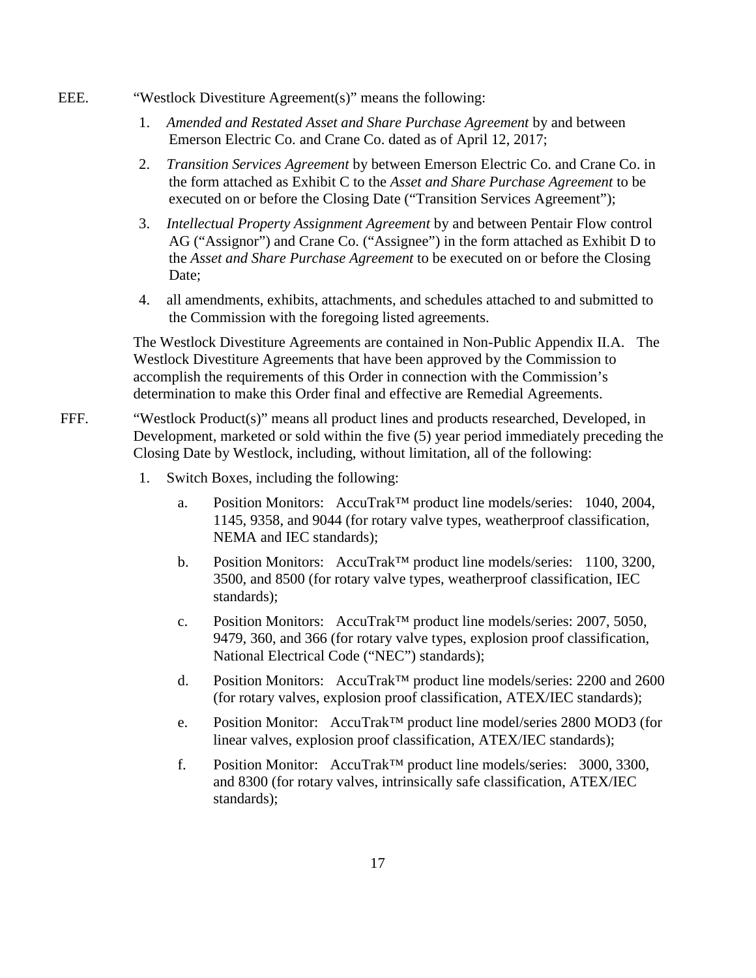- EEE. "Westlock Divestiture Agreement(s)" means the following:
	- 1. *Amended and Restated Asset and Share Purchase Agreement* by and between Emerson Electric Co. and Crane Co. dated as of April 12, 2017;
	- 2. *Transition Services Agreement* by between Emerson Electric Co. and Crane Co. in the form attached as Exhibit C to the *Asset and Share Purchase Agreement* to be executed on or before the Closing Date ("Transition Services Agreement");
	- 3. *Intellectual Property Assignment Agreement* by and between Pentair Flow control AG ("Assignor") and Crane Co. ("Assignee") in the form attached as Exhibit D to the *Asset and Share Purchase Agreement* to be executed on or before the Closing Date;
	- 4. all amendments, exhibits, attachments, and schedules attached to and submitted to the Commission with the foregoing listed agreements.

The Westlock Divestiture Agreements are contained in Non-Public Appendix II.A. The Westlock Divestiture Agreements that have been approved by the Commission to accomplish the requirements of this Order in connection with the Commission's determination to make this Order final and effective are Remedial Agreements.

- FFF. "Westlock Product(s)" means all product lines and products researched, Developed, in Development, marketed or sold within the five (5) year period immediately preceding the Closing Date by Westlock, including, without limitation, all of the following:
	- 1. Switch Boxes, including the following:
		- a. Position Monitors: AccuTrak™ product line models/series: 1040, 2004, 1145, 9358, and 9044 (for rotary valve types, weatherproof classification, NEMA and IEC standards);
		- b. Position Monitors: AccuTrak™ product line models/series: 1100, 3200, 3500, and 8500 (for rotary valve types, weatherproof classification, IEC standards);
		- c. Position Monitors:  $AccuTrak^{TM}$  product line models/series: 2007, 5050, 9479, 360, and 366 (for rotary valve types, explosion proof classification, National Electrical Code ("NEC") standards);
		- d. Position Monitors: AccuTrak™ product line models/series: 2200 and 2600 (for rotary valves, explosion proof classification, ATEX/IEC standards);
		- e. Position Monitor: AccuTrak™ product line model/series 2800 MOD3 (for linear valves, explosion proof classification, ATEX/IEC standards);
		- f. Position Monitor: AccuTrak™ product line models/series: 3000, 3300, and 8300 (for rotary valves, intrinsically safe classification, ATEX/IEC standards);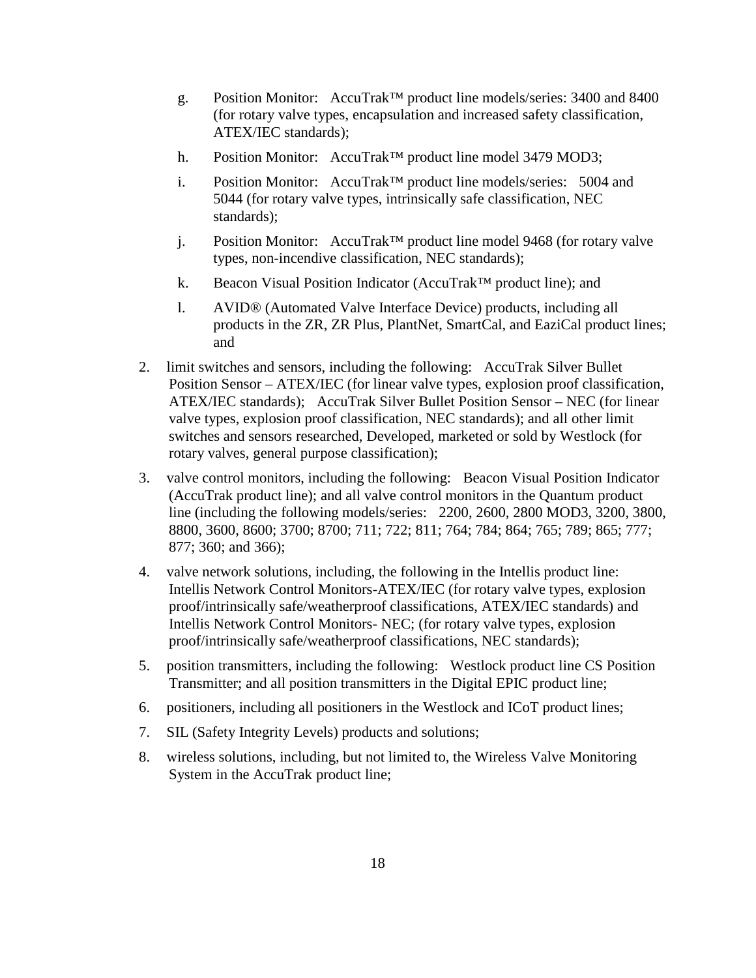- g. Position Monitor: AccuTrak™ product line models/series: 3400 and 8400 (for rotary valve types, encapsulation and increased safety classification, ATEX/IEC standards);
- h. Position Monitor: AccuTrak<sup>™</sup> product line model 3479 MOD3;
- i. Position Monitor: AccuTrak™ product line models/series: 5004 and 5044 (for rotary valve types, intrinsically safe classification, NEC standards);
- j. Position Monitor: AccuTrak™ product line model 9468 (for rotary valve types, non-incendive classification, NEC standards);
- k. Beacon Visual Position Indicator (AccuTrak™ product line); and
- l. AVID® (Automated Valve Interface Device) products, including all products in the ZR, ZR Plus, PlantNet, SmartCal, and EaziCal product lines; and
- 2. limit switches and sensors, including the following: AccuTrak Silver Bullet Position Sensor – ATEX/IEC (for linear valve types, explosion proof classification, ATEX/IEC standards); AccuTrak Silver Bullet Position Sensor – NEC (for linear valve types, explosion proof classification, NEC standards); and all other limit switches and sensors researched, Developed, marketed or sold by Westlock (for rotary valves, general purpose classification);
- 3. valve control monitors, including the following: Beacon Visual Position Indicator (AccuTrak product line); and all valve control monitors in the Quantum product line (including the following models/series: 2200, 2600, 2800 MOD3, 3200, 3800, 8800, 3600, 8600; 3700; 8700; 711; 722; 811; 764; 784; 864; 765; 789; 865; 777; 877; 360; and 366);
- 4. valve network solutions, including, the following in the Intellis product line: Intellis Network Control Monitors-ATEX/IEC (for rotary valve types, explosion proof/intrinsically safe/weatherproof classifications, ATEX/IEC standards) and Intellis Network Control Monitors- NEC; (for rotary valve types, explosion proof/intrinsically safe/weatherproof classifications, NEC standards);
- 5. position transmitters, including the following: Westlock product line CS Position Transmitter; and all position transmitters in the Digital EPIC product line;
- 6. positioners, including all positioners in the Westlock and ICoT product lines;
- 7. SIL (Safety Integrity Levels) products and solutions;
- 8. wireless solutions, including, but not limited to, the Wireless Valve Monitoring System in the AccuTrak product line;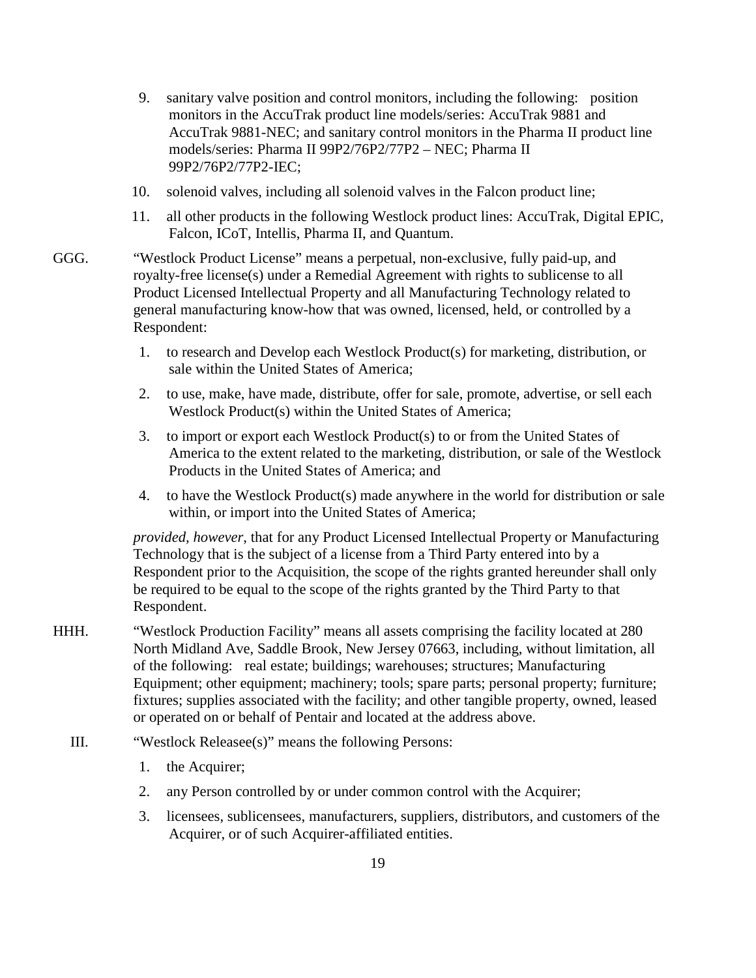- 9. sanitary valve position and control monitors, including the following: position monitors in the AccuTrak product line models/series: AccuTrak 9881 and AccuTrak 9881-NEC; and sanitary control monitors in the Pharma II product line models/series: Pharma II 99P2/76P2/77P2 – NEC; Pharma II 99P2/76P2/77P2-IEC;
- 10. solenoid valves, including all solenoid valves in the Falcon product line;
- 11. all other products in the following Westlock product lines: AccuTrak, Digital EPIC, Falcon, ICoT, Intellis, Pharma II, and Quantum.
- GGG. "Westlock Product License" means a perpetual, non-exclusive, fully paid-up, and royalty-free license(s) under a Remedial Agreement with rights to sublicense to all Product Licensed Intellectual Property and all Manufacturing Technology related to general manufacturing know-how that was owned, licensed, held, or controlled by a Respondent:
	- 1. to research and Develop each Westlock Product(s) for marketing, distribution, or sale within the United States of America;
	- 2. to use, make, have made, distribute, offer for sale, promote, advertise, or sell each Westlock Product(s) within the United States of America;
	- 3. to import or export each Westlock Product(s) to or from the United States of America to the extent related to the marketing, distribution, or sale of the Westlock Products in the United States of America; and
	- 4. to have the Westlock Product(s) made anywhere in the world for distribution or sale within, or import into the United States of America;

*provided, however*, that for any Product Licensed Intellectual Property or Manufacturing Technology that is the subject of a license from a Third Party entered into by a Respondent prior to the Acquisition, the scope of the rights granted hereunder shall only be required to be equal to the scope of the rights granted by the Third Party to that Respondent.

- HHH. "Westlock Production Facility" means all assets comprising the facility located at 280 North Midland Ave, Saddle Brook, New Jersey 07663, including, without limitation, all of the following: real estate; buildings; warehouses; structures; Manufacturing Equipment; other equipment; machinery; tools; spare parts; personal property; furniture; fixtures; supplies associated with the facility; and other tangible property, owned, leased or operated on or behalf of Pentair and located at the address above.
	- III. "Westlock Releasee(s)" means the following Persons:
		- 1. the Acquirer;
		- 2. any Person controlled by or under common control with the Acquirer;
		- 3. licensees, sublicensees, manufacturers, suppliers, distributors, and customers of the Acquirer, or of such Acquirer-affiliated entities.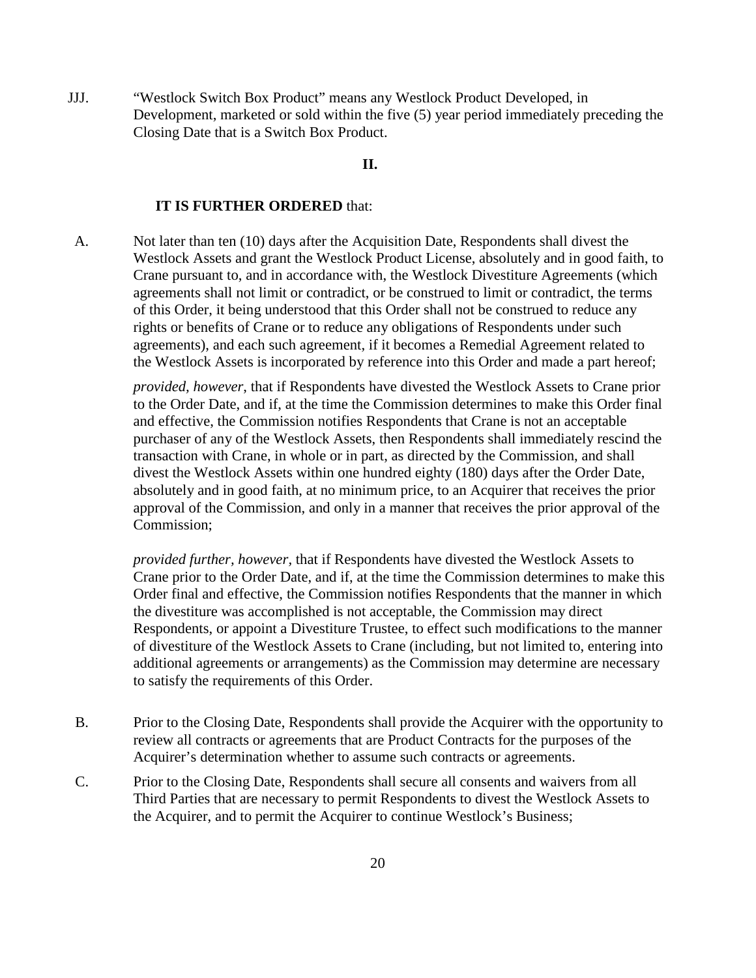JJJ. "Westlock Switch Box Product" means any Westlock Product Developed, in Development, marketed or sold within the five (5) year period immediately preceding the Closing Date that is a Switch Box Product.

## **II.**

#### **IT IS FURTHER ORDERED** that:

A. Not later than ten (10) days after the Acquisition Date, Respondents shall divest the Westlock Assets and grant the Westlock Product License, absolutely and in good faith, to Crane pursuant to, and in accordance with, the Westlock Divestiture Agreements (which agreements shall not limit or contradict, or be construed to limit or contradict, the terms of this Order, it being understood that this Order shall not be construed to reduce any rights or benefits of Crane or to reduce any obligations of Respondents under such agreements), and each such agreement, if it becomes a Remedial Agreement related to the Westlock Assets is incorporated by reference into this Order and made a part hereof;

*provided, however*, that if Respondents have divested the Westlock Assets to Crane prior to the Order Date, and if, at the time the Commission determines to make this Order final and effective, the Commission notifies Respondents that Crane is not an acceptable purchaser of any of the Westlock Assets, then Respondents shall immediately rescind the transaction with Crane, in whole or in part, as directed by the Commission, and shall divest the Westlock Assets within one hundred eighty (180) days after the Order Date, absolutely and in good faith, at no minimum price, to an Acquirer that receives the prior approval of the Commission, and only in a manner that receives the prior approval of the Commission;

*provided further, however,* that if Respondents have divested the Westlock Assets to Crane prior to the Order Date, and if, at the time the Commission determines to make this Order final and effective, the Commission notifies Respondents that the manner in which the divestiture was accomplished is not acceptable, the Commission may direct Respondents, or appoint a Divestiture Trustee, to effect such modifications to the manner of divestiture of the Westlock Assets to Crane (including, but not limited to, entering into additional agreements or arrangements) as the Commission may determine are necessary to satisfy the requirements of this Order.

- B. Prior to the Closing Date, Respondents shall provide the Acquirer with the opportunity to review all contracts or agreements that are Product Contracts for the purposes of the Acquirer's determination whether to assume such contracts or agreements.
- C. Prior to the Closing Date, Respondents shall secure all consents and waivers from all Third Parties that are necessary to permit Respondents to divest the Westlock Assets to the Acquirer, and to permit the Acquirer to continue Westlock's Business;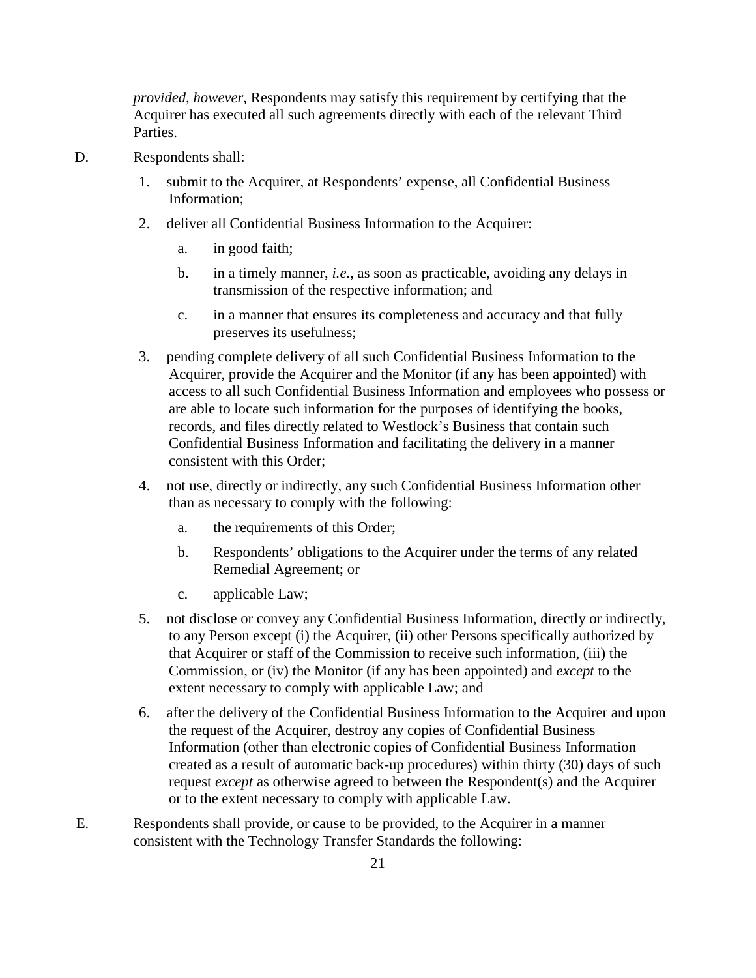*provided, however*, Respondents may satisfy this requirement by certifying that the Acquirer has executed all such agreements directly with each of the relevant Third Parties.

- D. Respondents shall:
	- 1. submit to the Acquirer, at Respondents' expense, all Confidential Business Information;
	- 2. deliver all Confidential Business Information to the Acquirer:
		- a. in good faith;
		- b. in a timely manner, *i.e.*, as soon as practicable, avoiding any delays in transmission of the respective information; and
		- c. in a manner that ensures its completeness and accuracy and that fully preserves its usefulness;
	- 3. pending complete delivery of all such Confidential Business Information to the Acquirer, provide the Acquirer and the Monitor (if any has been appointed) with access to all such Confidential Business Information and employees who possess or are able to locate such information for the purposes of identifying the books, records, and files directly related to Westlock's Business that contain such Confidential Business Information and facilitating the delivery in a manner consistent with this Order;
	- 4. not use, directly or indirectly, any such Confidential Business Information other than as necessary to comply with the following:
		- a. the requirements of this Order;
		- b. Respondents' obligations to the Acquirer under the terms of any related Remedial Agreement; or
		- c. applicable Law;
	- 5. not disclose or convey any Confidential Business Information, directly or indirectly, to any Person except (i) the Acquirer, (ii) other Persons specifically authorized by that Acquirer or staff of the Commission to receive such information, (iii) the Commission, or (iv) the Monitor (if any has been appointed) and *except* to the extent necessary to comply with applicable Law; and
	- 6. after the delivery of the Confidential Business Information to the Acquirer and upon the request of the Acquirer, destroy any copies of Confidential Business Information (other than electronic copies of Confidential Business Information created as a result of automatic back-up procedures) within thirty (30) days of such request *except* as otherwise agreed to between the Respondent(s) and the Acquirer or to the extent necessary to comply with applicable Law.
- E. Respondents shall provide, or cause to be provided, to the Acquirer in a manner consistent with the Technology Transfer Standards the following: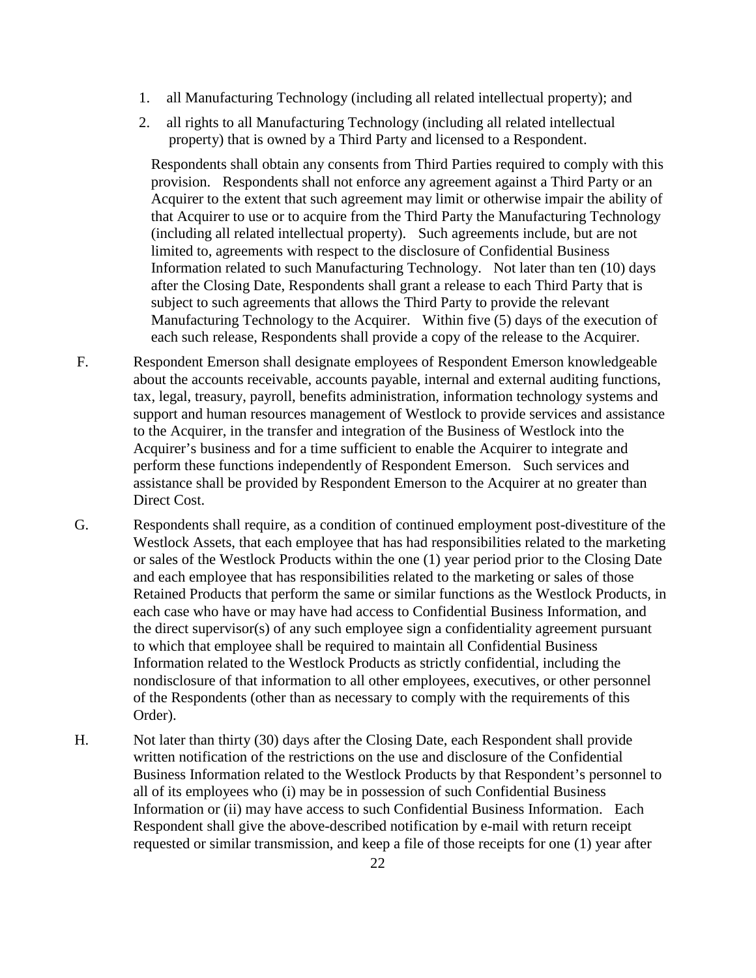- 1. all Manufacturing Technology (including all related intellectual property); and
- 2. all rights to all Manufacturing Technology (including all related intellectual property) that is owned by a Third Party and licensed to a Respondent.

Respondents shall obtain any consents from Third Parties required to comply with this provision. Respondents shall not enforce any agreement against a Third Party or an Acquirer to the extent that such agreement may limit or otherwise impair the ability of that Acquirer to use or to acquire from the Third Party the Manufacturing Technology (including all related intellectual property). Such agreements include, but are not limited to, agreements with respect to the disclosure of Confidential Business Information related to such Manufacturing Technology. Not later than ten (10) days after the Closing Date, Respondents shall grant a release to each Third Party that is subject to such agreements that allows the Third Party to provide the relevant Manufacturing Technology to the Acquirer. Within five (5) days of the execution of each such release, Respondents shall provide a copy of the release to the Acquirer.

- F. Respondent Emerson shall designate employees of Respondent Emerson knowledgeable about the accounts receivable, accounts payable, internal and external auditing functions, tax, legal, treasury, payroll, benefits administration, information technology systems and support and human resources management of Westlock to provide services and assistance to the Acquirer, in the transfer and integration of the Business of Westlock into the Acquirer's business and for a time sufficient to enable the Acquirer to integrate and perform these functions independently of Respondent Emerson. Such services and assistance shall be provided by Respondent Emerson to the Acquirer at no greater than Direct Cost.
- G. Respondents shall require, as a condition of continued employment post-divestiture of the Westlock Assets, that each employee that has had responsibilities related to the marketing or sales of the Westlock Products within the one (1) year period prior to the Closing Date and each employee that has responsibilities related to the marketing or sales of those Retained Products that perform the same or similar functions as the Westlock Products, in each case who have or may have had access to Confidential Business Information, and the direct supervisor(s) of any such employee sign a confidentiality agreement pursuant to which that employee shall be required to maintain all Confidential Business Information related to the Westlock Products as strictly confidential, including the nondisclosure of that information to all other employees, executives, or other personnel of the Respondents (other than as necessary to comply with the requirements of this Order).
- H. Not later than thirty (30) days after the Closing Date, each Respondent shall provide written notification of the restrictions on the use and disclosure of the Confidential Business Information related to the Westlock Products by that Respondent's personnel to all of its employees who (i) may be in possession of such Confidential Business Information or (ii) may have access to such Confidential Business Information. Each Respondent shall give the above-described notification by e-mail with return receipt requested or similar transmission, and keep a file of those receipts for one (1) year after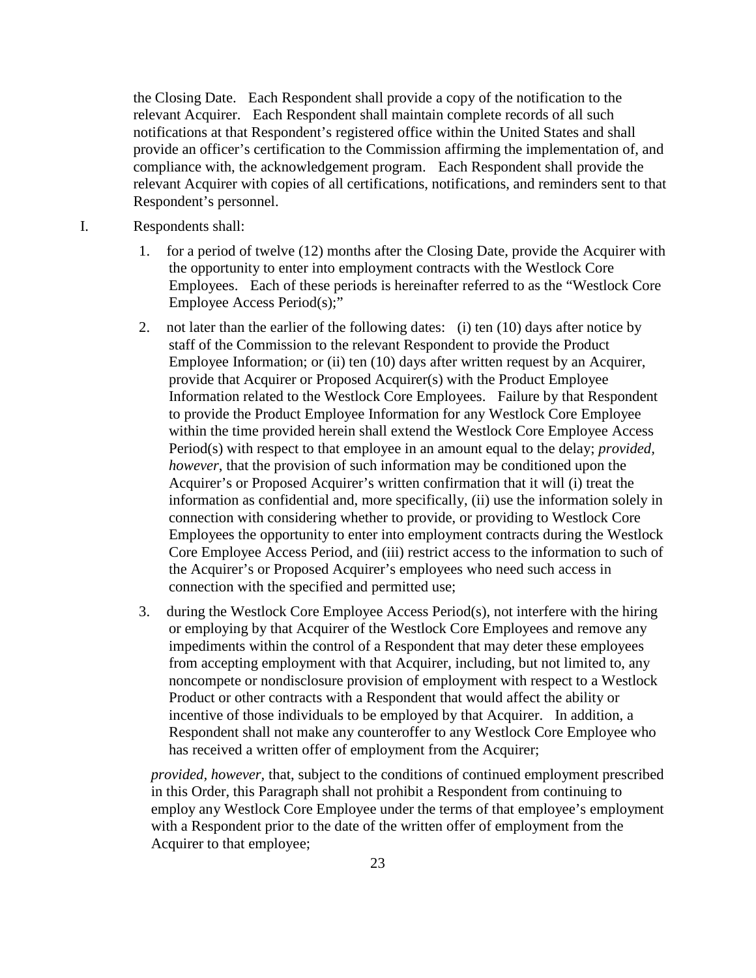the Closing Date. Each Respondent shall provide a copy of the notification to the relevant Acquirer. Each Respondent shall maintain complete records of all such notifications at that Respondent's registered office within the United States and shall provide an officer's certification to the Commission affirming the implementation of, and compliance with, the acknowledgement program. Each Respondent shall provide the relevant Acquirer with copies of all certifications, notifications, and reminders sent to that Respondent's personnel.

- I. Respondents shall:
	- 1. for a period of twelve (12) months after the Closing Date, provide the Acquirer with the opportunity to enter into employment contracts with the Westlock Core Employees. Each of these periods is hereinafter referred to as the "Westlock Core Employee Access Period(s);"
	- 2. not later than the earlier of the following dates: (i) ten (10) days after notice by staff of the Commission to the relevant Respondent to provide the Product Employee Information; or (ii) ten (10) days after written request by an Acquirer, provide that Acquirer or Proposed Acquirer(s) with the Product Employee Information related to the Westlock Core Employees. Failure by that Respondent to provide the Product Employee Information for any Westlock Core Employee within the time provided herein shall extend the Westlock Core Employee Access Period(s) with respect to that employee in an amount equal to the delay; *provided, however*, that the provision of such information may be conditioned upon the Acquirer's or Proposed Acquirer's written confirmation that it will (i) treat the information as confidential and, more specifically, (ii) use the information solely in connection with considering whether to provide, or providing to Westlock Core Employees the opportunity to enter into employment contracts during the Westlock Core Employee Access Period, and (iii) restrict access to the information to such of the Acquirer's or Proposed Acquirer's employees who need such access in connection with the specified and permitted use;
	- 3. during the Westlock Core Employee Access Period(s), not interfere with the hiring or employing by that Acquirer of the Westlock Core Employees and remove any impediments within the control of a Respondent that may deter these employees from accepting employment with that Acquirer, including, but not limited to, any noncompete or nondisclosure provision of employment with respect to a Westlock Product or other contracts with a Respondent that would affect the ability or incentive of those individuals to be employed by that Acquirer. In addition, a Respondent shall not make any counteroffer to any Westlock Core Employee who has received a written offer of employment from the Acquirer;

*provided, however,* that, subject to the conditions of continued employment prescribed in this Order, this Paragraph shall not prohibit a Respondent from continuing to employ any Westlock Core Employee under the terms of that employee's employment with a Respondent prior to the date of the written offer of employment from the Acquirer to that employee;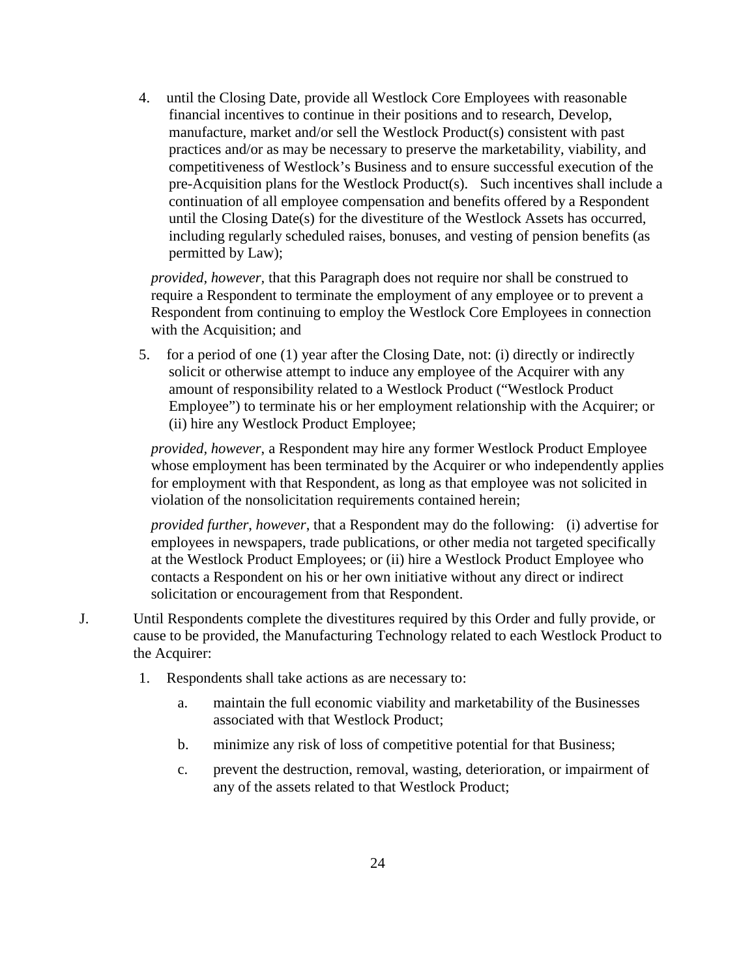4. until the Closing Date, provide all Westlock Core Employees with reasonable financial incentives to continue in their positions and to research, Develop, manufacture, market and/or sell the Westlock Product(s) consistent with past practices and/or as may be necessary to preserve the marketability, viability, and competitiveness of Westlock's Business and to ensure successful execution of the pre-Acquisition plans for the Westlock Product(s). Such incentives shall include a continuation of all employee compensation and benefits offered by a Respondent until the Closing Date(s) for the divestiture of the Westlock Assets has occurred, including regularly scheduled raises, bonuses, and vesting of pension benefits (as permitted by Law);

*provided, however,* that this Paragraph does not require nor shall be construed to require a Respondent to terminate the employment of any employee or to prevent a Respondent from continuing to employ the Westlock Core Employees in connection with the Acquisition; and

5. for a period of one (1) year after the Closing Date, not: (i) directly or indirectly solicit or otherwise attempt to induce any employee of the Acquirer with any amount of responsibility related to a Westlock Product ("Westlock Product Employee") to terminate his or her employment relationship with the Acquirer; or (ii) hire any Westlock Product Employee;

*provided, however*, a Respondent may hire any former Westlock Product Employee whose employment has been terminated by the Acquirer or who independently applies for employment with that Respondent, as long as that employee was not solicited in violation of the nonsolicitation requirements contained herein;

*provided further*, *however*, that a Respondent may do the following: (i) advertise for employees in newspapers, trade publications, or other media not targeted specifically at the Westlock Product Employees; or (ii) hire a Westlock Product Employee who contacts a Respondent on his or her own initiative without any direct or indirect solicitation or encouragement from that Respondent.

- J. Until Respondents complete the divestitures required by this Order and fully provide, or cause to be provided, the Manufacturing Technology related to each Westlock Product to the Acquirer:
	- 1. Respondents shall take actions as are necessary to:
		- a. maintain the full economic viability and marketability of the Businesses associated with that Westlock Product;
		- b. minimize any risk of loss of competitive potential for that Business;
		- c. prevent the destruction, removal, wasting, deterioration, or impairment of any of the assets related to that Westlock Product;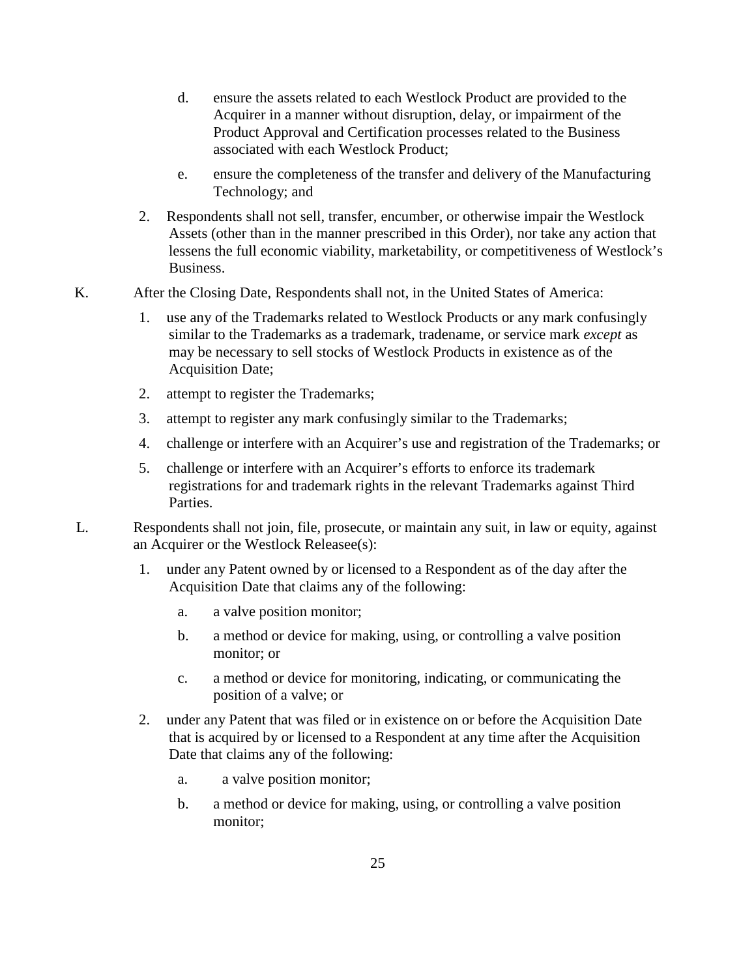- d. ensure the assets related to each Westlock Product are provided to the Acquirer in a manner without disruption, delay, or impairment of the Product Approval and Certification processes related to the Business associated with each Westlock Product;
- e. ensure the completeness of the transfer and delivery of the Manufacturing Technology; and
- 2. Respondents shall not sell, transfer, encumber, or otherwise impair the Westlock Assets (other than in the manner prescribed in this Order), nor take any action that lessens the full economic viability, marketability, or competitiveness of Westlock's Business.
- K. After the Closing Date, Respondents shall not, in the United States of America:
	- 1. use any of the Trademarks related to Westlock Products or any mark confusingly similar to the Trademarks as a trademark, tradename, or service mark *except* as may be necessary to sell stocks of Westlock Products in existence as of the Acquisition Date;
	- 2. attempt to register the Trademarks;
	- 3. attempt to register any mark confusingly similar to the Trademarks;
	- 4. challenge or interfere with an Acquirer's use and registration of the Trademarks; or
	- 5. challenge or interfere with an Acquirer's efforts to enforce its trademark registrations for and trademark rights in the relevant Trademarks against Third Parties.
- L. Respondents shall not join, file, prosecute, or maintain any suit, in law or equity, against an Acquirer or the Westlock Releasee(s):
	- 1. under any Patent owned by or licensed to a Respondent as of the day after the Acquisition Date that claims any of the following:
		- a. a valve position monitor;
		- b. a method or device for making, using, or controlling a valve position monitor; or
		- c. a method or device for monitoring, indicating, or communicating the position of a valve; or
	- 2. under any Patent that was filed or in existence on or before the Acquisition Date that is acquired by or licensed to a Respondent at any time after the Acquisition Date that claims any of the following:
		- a. a valve position monitor;
		- b. a method or device for making, using, or controlling a valve position monitor;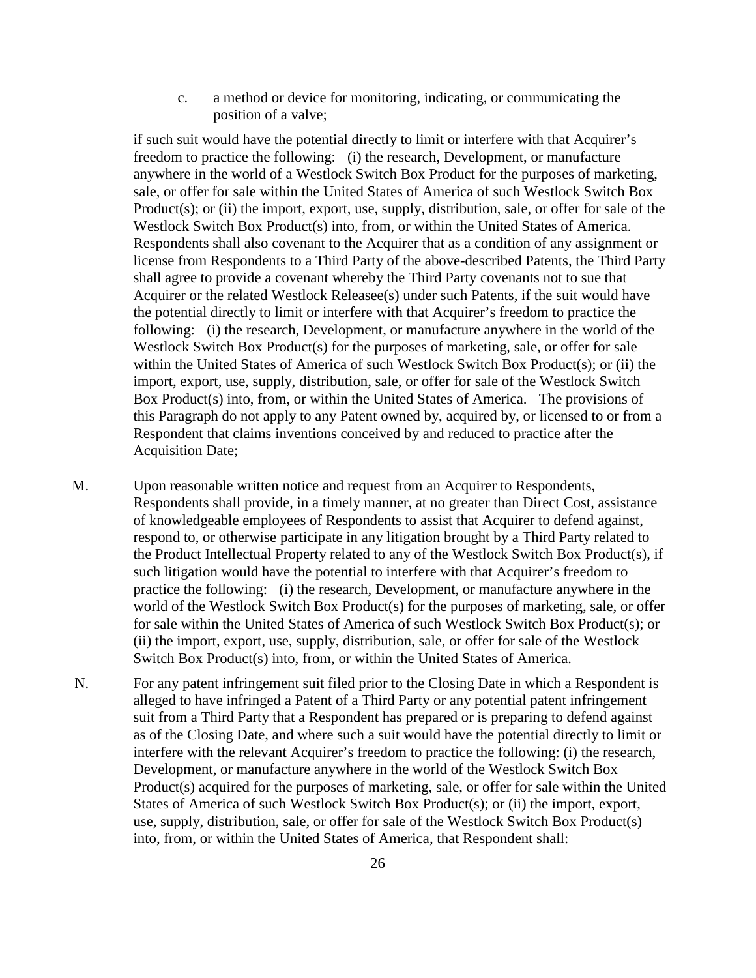c. a method or device for monitoring, indicating, or communicating the position of a valve;

if such suit would have the potential directly to limit or interfere with that Acquirer's freedom to practice the following: (i) the research, Development, or manufacture anywhere in the world of a Westlock Switch Box Product for the purposes of marketing, sale, or offer for sale within the United States of America of such Westlock Switch Box Product(s); or (ii) the import, export, use, supply, distribution, sale, or offer for sale of the Westlock Switch Box Product(s) into, from, or within the United States of America. Respondents shall also covenant to the Acquirer that as a condition of any assignment or license from Respondents to a Third Party of the above-described Patents, the Third Party shall agree to provide a covenant whereby the Third Party covenants not to sue that Acquirer or the related Westlock Releasee(s) under such Patents, if the suit would have the potential directly to limit or interfere with that Acquirer's freedom to practice the following: (i) the research, Development, or manufacture anywhere in the world of the Westlock Switch Box Product(s) for the purposes of marketing, sale, or offer for sale within the United States of America of such Westlock Switch Box Product(s); or (ii) the import, export, use, supply, distribution, sale, or offer for sale of the Westlock Switch Box Product(s) into, from, or within the United States of America. The provisions of this Paragraph do not apply to any Patent owned by, acquired by, or licensed to or from a Respondent that claims inventions conceived by and reduced to practice after the Acquisition Date;

M. Upon reasonable written notice and request from an Acquirer to Respondents, Respondents shall provide, in a timely manner, at no greater than Direct Cost, assistance of knowledgeable employees of Respondents to assist that Acquirer to defend against, respond to, or otherwise participate in any litigation brought by a Third Party related to the Product Intellectual Property related to any of the Westlock Switch Box Product(s), if such litigation would have the potential to interfere with that Acquirer's freedom to practice the following: (i) the research, Development, or manufacture anywhere in the world of the Westlock Switch Box Product(s) for the purposes of marketing, sale, or offer for sale within the United States of America of such Westlock Switch Box Product(s); or (ii) the import, export, use, supply, distribution, sale, or offer for sale of the Westlock Switch Box Product(s) into, from, or within the United States of America.

N. For any patent infringement suit filed prior to the Closing Date in which a Respondent is alleged to have infringed a Patent of a Third Party or any potential patent infringement suit from a Third Party that a Respondent has prepared or is preparing to defend against as of the Closing Date, and where such a suit would have the potential directly to limit or interfere with the relevant Acquirer's freedom to practice the following: (i) the research, Development, or manufacture anywhere in the world of the Westlock Switch Box Product(s) acquired for the purposes of marketing, sale, or offer for sale within the United States of America of such Westlock Switch Box Product(s); or (ii) the import, export, use, supply, distribution, sale, or offer for sale of the Westlock Switch Box Product(s) into, from, or within the United States of America, that Respondent shall: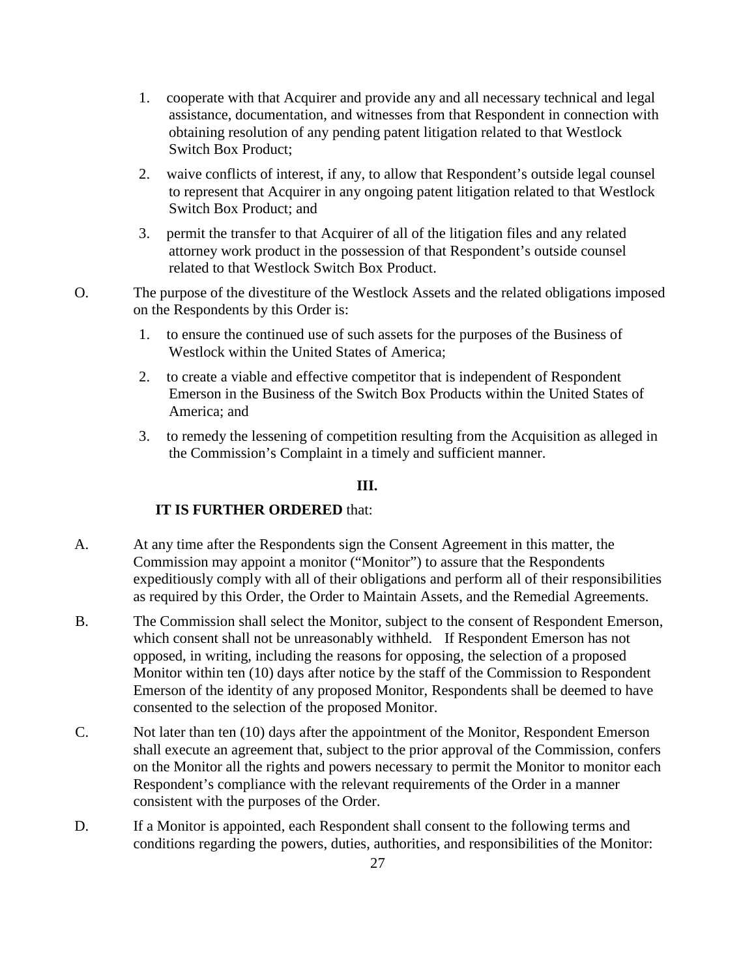- 1. cooperate with that Acquirer and provide any and all necessary technical and legal assistance, documentation, and witnesses from that Respondent in connection with obtaining resolution of any pending patent litigation related to that Westlock Switch Box Product;
- 2. waive conflicts of interest, if any, to allow that Respondent's outside legal counsel to represent that Acquirer in any ongoing patent litigation related to that Westlock Switch Box Product; and
- 3. permit the transfer to that Acquirer of all of the litigation files and any related attorney work product in the possession of that Respondent's outside counsel related to that Westlock Switch Box Product.
- O. The purpose of the divestiture of the Westlock Assets and the related obligations imposed on the Respondents by this Order is:
	- 1. to ensure the continued use of such assets for the purposes of the Business of Westlock within the United States of America;
	- 2. to create a viable and effective competitor that is independent of Respondent Emerson in the Business of the Switch Box Products within the United States of America; and
	- 3. to remedy the lessening of competition resulting from the Acquisition as alleged in the Commission's Complaint in a timely and sufficient manner.

## **III.**

# **IT IS FURTHER ORDERED** that:

- A. At any time after the Respondents sign the Consent Agreement in this matter, the Commission may appoint a monitor ("Monitor") to assure that the Respondents expeditiously comply with all of their obligations and perform all of their responsibilities as required by this Order, the Order to Maintain Assets, and the Remedial Agreements.
- B. The Commission shall select the Monitor, subject to the consent of Respondent Emerson, which consent shall not be unreasonably withheld. If Respondent Emerson has not opposed, in writing, including the reasons for opposing, the selection of a proposed Monitor within ten (10) days after notice by the staff of the Commission to Respondent Emerson of the identity of any proposed Monitor, Respondents shall be deemed to have consented to the selection of the proposed Monitor.
- C. Not later than ten (10) days after the appointment of the Monitor, Respondent Emerson shall execute an agreement that, subject to the prior approval of the Commission, confers on the Monitor all the rights and powers necessary to permit the Monitor to monitor each Respondent's compliance with the relevant requirements of the Order in a manner consistent with the purposes of the Order.
- D. If a Monitor is appointed, each Respondent shall consent to the following terms and conditions regarding the powers, duties, authorities, and responsibilities of the Monitor: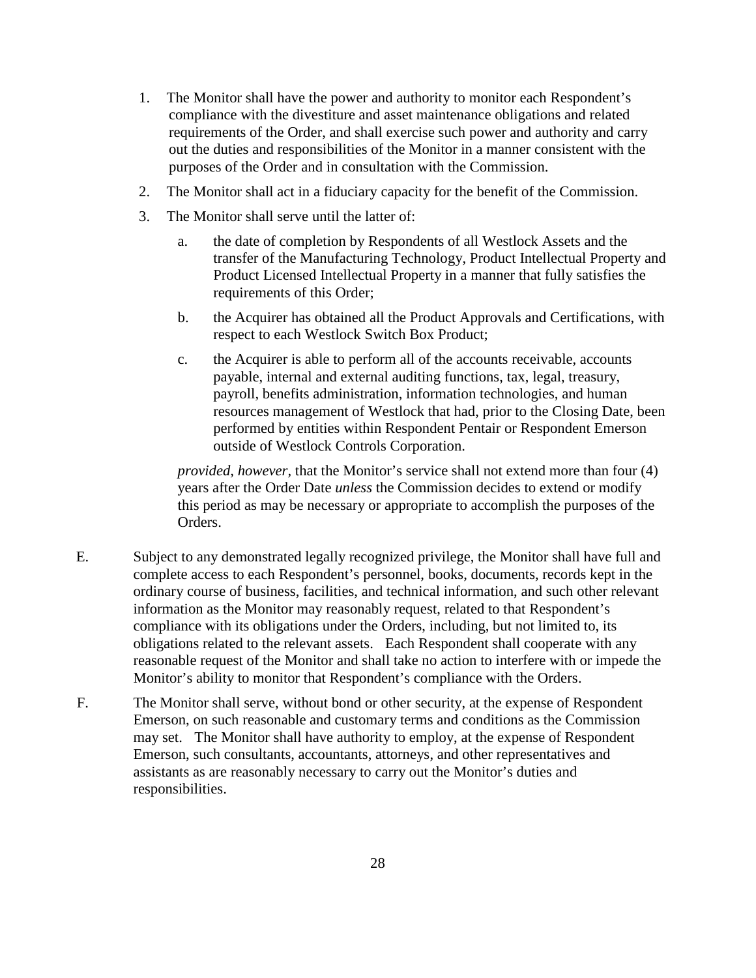- 1. The Monitor shall have the power and authority to monitor each Respondent's compliance with the divestiture and asset maintenance obligations and related requirements of the Order, and shall exercise such power and authority and carry out the duties and responsibilities of the Monitor in a manner consistent with the purposes of the Order and in consultation with the Commission.
- 2. The Monitor shall act in a fiduciary capacity for the benefit of the Commission.
- 3. The Monitor shall serve until the latter of:
	- a. the date of completion by Respondents of all Westlock Assets and the transfer of the Manufacturing Technology, Product Intellectual Property and Product Licensed Intellectual Property in a manner that fully satisfies the requirements of this Order;
	- b. the Acquirer has obtained all the Product Approvals and Certifications, with respect to each Westlock Switch Box Product;
	- c. the Acquirer is able to perform all of the accounts receivable, accounts payable, internal and external auditing functions, tax, legal, treasury, payroll, benefits administration, information technologies, and human resources management of Westlock that had, prior to the Closing Date, been performed by entities within Respondent Pentair or Respondent Emerson outside of Westlock Controls Corporation.

*provided, however,* that the Monitor's service shall not extend more than four (4) years after the Order Date *unless* the Commission decides to extend or modify this period as may be necessary or appropriate to accomplish the purposes of the Orders.

- E. Subject to any demonstrated legally recognized privilege, the Monitor shall have full and complete access to each Respondent's personnel, books, documents, records kept in the ordinary course of business, facilities, and technical information, and such other relevant information as the Monitor may reasonably request, related to that Respondent's compliance with its obligations under the Orders, including, but not limited to, its obligations related to the relevant assets. Each Respondent shall cooperate with any reasonable request of the Monitor and shall take no action to interfere with or impede the Monitor's ability to monitor that Respondent's compliance with the Orders.
- F. The Monitor shall serve, without bond or other security, at the expense of Respondent Emerson, on such reasonable and customary terms and conditions as the Commission may set. The Monitor shall have authority to employ, at the expense of Respondent Emerson, such consultants, accountants, attorneys, and other representatives and assistants as are reasonably necessary to carry out the Monitor's duties and responsibilities.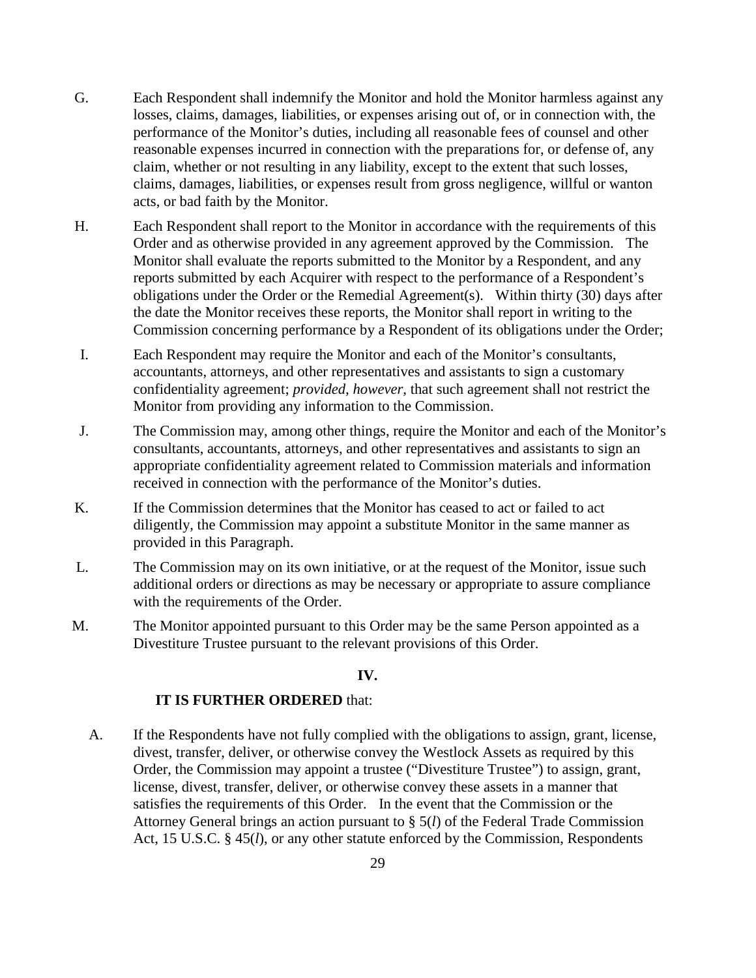- G. Each Respondent shall indemnify the Monitor and hold the Monitor harmless against any losses, claims, damages, liabilities, or expenses arising out of, or in connection with, the performance of the Monitor's duties, including all reasonable fees of counsel and other reasonable expenses incurred in connection with the preparations for, or defense of, any claim, whether or not resulting in any liability, except to the extent that such losses, claims, damages, liabilities, or expenses result from gross negligence, willful or wanton acts, or bad faith by the Monitor.
- H. Each Respondent shall report to the Monitor in accordance with the requirements of this Order and as otherwise provided in any agreement approved by the Commission. The Monitor shall evaluate the reports submitted to the Monitor by a Respondent, and any reports submitted by each Acquirer with respect to the performance of a Respondent's obligations under the Order or the Remedial Agreement(s). Within thirty (30) days after the date the Monitor receives these reports, the Monitor shall report in writing to the Commission concerning performance by a Respondent of its obligations under the Order;
- I. Each Respondent may require the Monitor and each of the Monitor's consultants, accountants, attorneys, and other representatives and assistants to sign a customary confidentiality agreement; *provided, however,* that such agreement shall not restrict the Monitor from providing any information to the Commission.
- J. The Commission may, among other things, require the Monitor and each of the Monitor's consultants, accountants, attorneys, and other representatives and assistants to sign an appropriate confidentiality agreement related to Commission materials and information received in connection with the performance of the Monitor's duties.
- K. If the Commission determines that the Monitor has ceased to act or failed to act diligently, the Commission may appoint a substitute Monitor in the same manner as provided in this Paragraph.
- L. The Commission may on its own initiative, or at the request of the Monitor, issue such additional orders or directions as may be necessary or appropriate to assure compliance with the requirements of the Order.
- M. The Monitor appointed pursuant to this Order may be the same Person appointed as a Divestiture Trustee pursuant to the relevant provisions of this Order.

### **IV.**

## **IT IS FURTHER ORDERED** that:

A. If the Respondents have not fully complied with the obligations to assign, grant, license, divest, transfer, deliver, or otherwise convey the Westlock Assets as required by this Order, the Commission may appoint a trustee ("Divestiture Trustee") to assign, grant, license, divest, transfer, deliver, or otherwise convey these assets in a manner that satisfies the requirements of this Order. In the event that the Commission or the Attorney General brings an action pursuant to § 5(*l*) of the Federal Trade Commission Act, 15 U.S.C. § 45(*l*), or any other statute enforced by the Commission, Respondents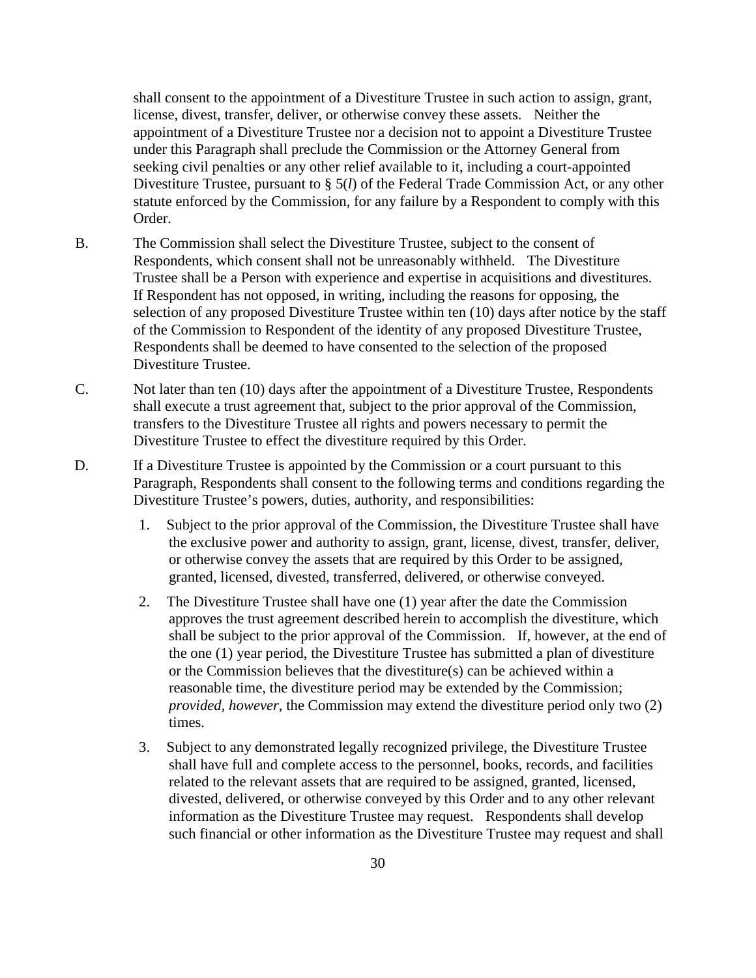shall consent to the appointment of a Divestiture Trustee in such action to assign, grant, license, divest, transfer, deliver, or otherwise convey these assets. Neither the appointment of a Divestiture Trustee nor a decision not to appoint a Divestiture Trustee under this Paragraph shall preclude the Commission or the Attorney General from seeking civil penalties or any other relief available to it, including a court-appointed Divestiture Trustee, pursuant to § 5(*l*) of the Federal Trade Commission Act, or any other statute enforced by the Commission, for any failure by a Respondent to comply with this Order.

- B. The Commission shall select the Divestiture Trustee, subject to the consent of Respondents, which consent shall not be unreasonably withheld. The Divestiture Trustee shall be a Person with experience and expertise in acquisitions and divestitures. If Respondent has not opposed, in writing, including the reasons for opposing, the selection of any proposed Divestiture Trustee within ten (10) days after notice by the staff of the Commission to Respondent of the identity of any proposed Divestiture Trustee, Respondents shall be deemed to have consented to the selection of the proposed Divestiture Trustee.
- C. Not later than ten (10) days after the appointment of a Divestiture Trustee, Respondents shall execute a trust agreement that, subject to the prior approval of the Commission, transfers to the Divestiture Trustee all rights and powers necessary to permit the Divestiture Trustee to effect the divestiture required by this Order.
- D. If a Divestiture Trustee is appointed by the Commission or a court pursuant to this Paragraph, Respondents shall consent to the following terms and conditions regarding the Divestiture Trustee's powers, duties, authority, and responsibilities:
	- 1. Subject to the prior approval of the Commission, the Divestiture Trustee shall have the exclusive power and authority to assign, grant, license, divest, transfer, deliver, or otherwise convey the assets that are required by this Order to be assigned, granted, licensed, divested, transferred, delivered, or otherwise conveyed.
	- 2. The Divestiture Trustee shall have one (1) year after the date the Commission approves the trust agreement described herein to accomplish the divestiture, which shall be subject to the prior approval of the Commission. If, however, at the end of the one (1) year period, the Divestiture Trustee has submitted a plan of divestiture or the Commission believes that the divestiture(s) can be achieved within a reasonable time, the divestiture period may be extended by the Commission; *provided, however*, the Commission may extend the divestiture period only two (2) times.
	- 3. Subject to any demonstrated legally recognized privilege, the Divestiture Trustee shall have full and complete access to the personnel, books, records, and facilities related to the relevant assets that are required to be assigned, granted, licensed, divested, delivered, or otherwise conveyed by this Order and to any other relevant information as the Divestiture Trustee may request. Respondents shall develop such financial or other information as the Divestiture Trustee may request and shall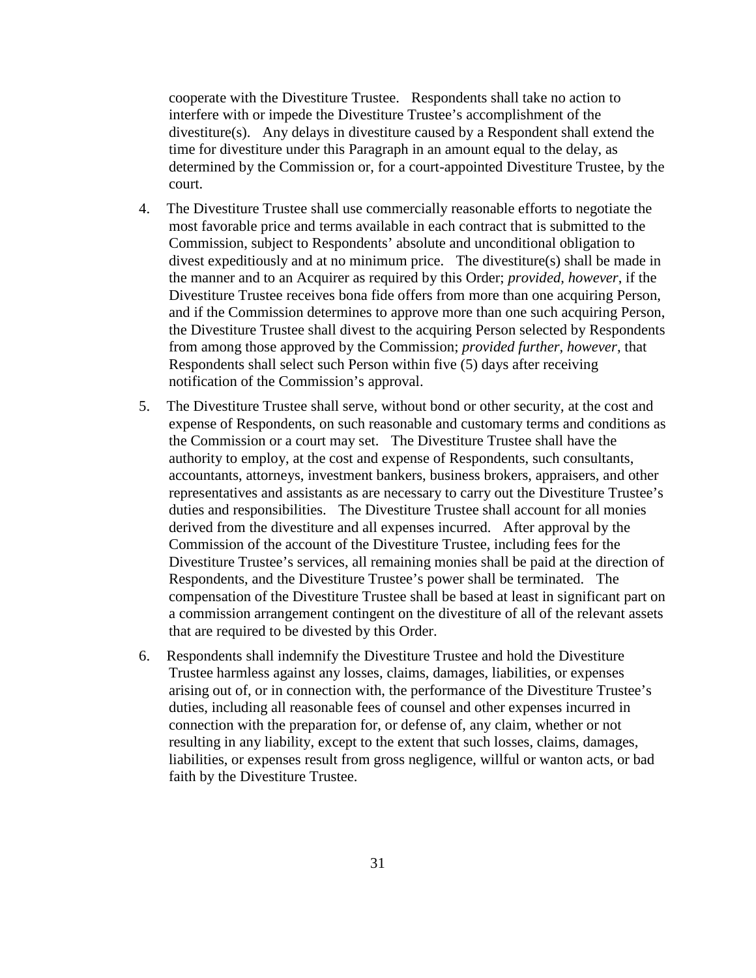cooperate with the Divestiture Trustee. Respondents shall take no action to interfere with or impede the Divestiture Trustee's accomplishment of the divestiture(s). Any delays in divestiture caused by a Respondent shall extend the time for divestiture under this Paragraph in an amount equal to the delay, as determined by the Commission or, for a court-appointed Divestiture Trustee, by the court.

- 4. The Divestiture Trustee shall use commercially reasonable efforts to negotiate the most favorable price and terms available in each contract that is submitted to the Commission, subject to Respondents' absolute and unconditional obligation to divest expeditiously and at no minimum price. The divestiture(s) shall be made in the manner and to an Acquirer as required by this Order; *provided, however*, if the Divestiture Trustee receives bona fide offers from more than one acquiring Person, and if the Commission determines to approve more than one such acquiring Person, the Divestiture Trustee shall divest to the acquiring Person selected by Respondents from among those approved by the Commission; *provided further, however*, that Respondents shall select such Person within five (5) days after receiving notification of the Commission's approval.
- 5. The Divestiture Trustee shall serve, without bond or other security, at the cost and expense of Respondents, on such reasonable and customary terms and conditions as the Commission or a court may set. The Divestiture Trustee shall have the authority to employ, at the cost and expense of Respondents, such consultants, accountants, attorneys, investment bankers, business brokers, appraisers, and other representatives and assistants as are necessary to carry out the Divestiture Trustee's duties and responsibilities. The Divestiture Trustee shall account for all monies derived from the divestiture and all expenses incurred. After approval by the Commission of the account of the Divestiture Trustee, including fees for the Divestiture Trustee's services, all remaining monies shall be paid at the direction of Respondents, and the Divestiture Trustee's power shall be terminated. The compensation of the Divestiture Trustee shall be based at least in significant part on a commission arrangement contingent on the divestiture of all of the relevant assets that are required to be divested by this Order.
- 6. Respondents shall indemnify the Divestiture Trustee and hold the Divestiture Trustee harmless against any losses, claims, damages, liabilities, or expenses arising out of, or in connection with, the performance of the Divestiture Trustee's duties, including all reasonable fees of counsel and other expenses incurred in connection with the preparation for, or defense of, any claim, whether or not resulting in any liability, except to the extent that such losses, claims, damages, liabilities, or expenses result from gross negligence, willful or wanton acts, or bad faith by the Divestiture Trustee.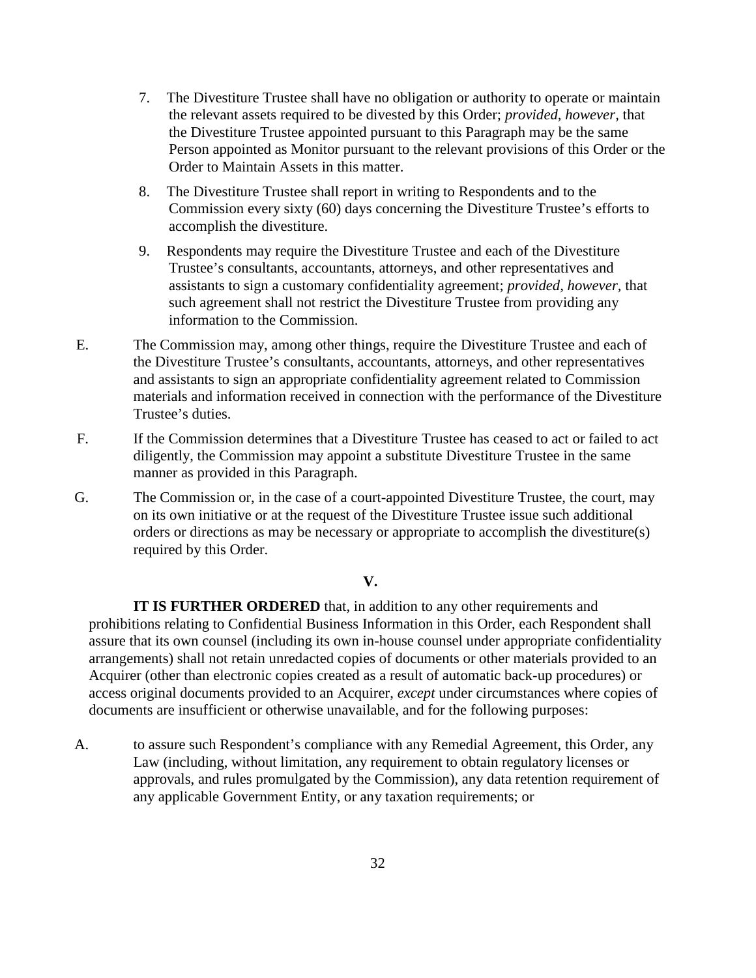- 7. The Divestiture Trustee shall have no obligation or authority to operate or maintain the relevant assets required to be divested by this Order; *provided, however,* that the Divestiture Trustee appointed pursuant to this Paragraph may be the same Person appointed as Monitor pursuant to the relevant provisions of this Order or the Order to Maintain Assets in this matter.
- 8. The Divestiture Trustee shall report in writing to Respondents and to the Commission every sixty (60) days concerning the Divestiture Trustee's efforts to accomplish the divestiture.
- 9. Respondents may require the Divestiture Trustee and each of the Divestiture Trustee's consultants, accountants, attorneys, and other representatives and assistants to sign a customary confidentiality agreement; *provided, however,* that such agreement shall not restrict the Divestiture Trustee from providing any information to the Commission.
- E. The Commission may, among other things, require the Divestiture Trustee and each of the Divestiture Trustee's consultants, accountants, attorneys, and other representatives and assistants to sign an appropriate confidentiality agreement related to Commission materials and information received in connection with the performance of the Divestiture Trustee's duties.
- F. If the Commission determines that a Divestiture Trustee has ceased to act or failed to act diligently, the Commission may appoint a substitute Divestiture Trustee in the same manner as provided in this Paragraph.
- G. The Commission or, in the case of a court-appointed Divestiture Trustee, the court, may on its own initiative or at the request of the Divestiture Trustee issue such additional orders or directions as may be necessary or appropriate to accomplish the divestiture(s) required by this Order.

#### **V.**

**IT IS FURTHER ORDERED** that, in addition to any other requirements and prohibitions relating to Confidential Business Information in this Order, each Respondent shall assure that its own counsel (including its own in-house counsel under appropriate confidentiality arrangements) shall not retain unredacted copies of documents or other materials provided to an Acquirer (other than electronic copies created as a result of automatic back-up procedures) or access original documents provided to an Acquirer, *except* under circumstances where copies of documents are insufficient or otherwise unavailable, and for the following purposes:

A. to assure such Respondent's compliance with any Remedial Agreement, this Order, any Law (including, without limitation, any requirement to obtain regulatory licenses or approvals, and rules promulgated by the Commission), any data retention requirement of any applicable Government Entity, or any taxation requirements; or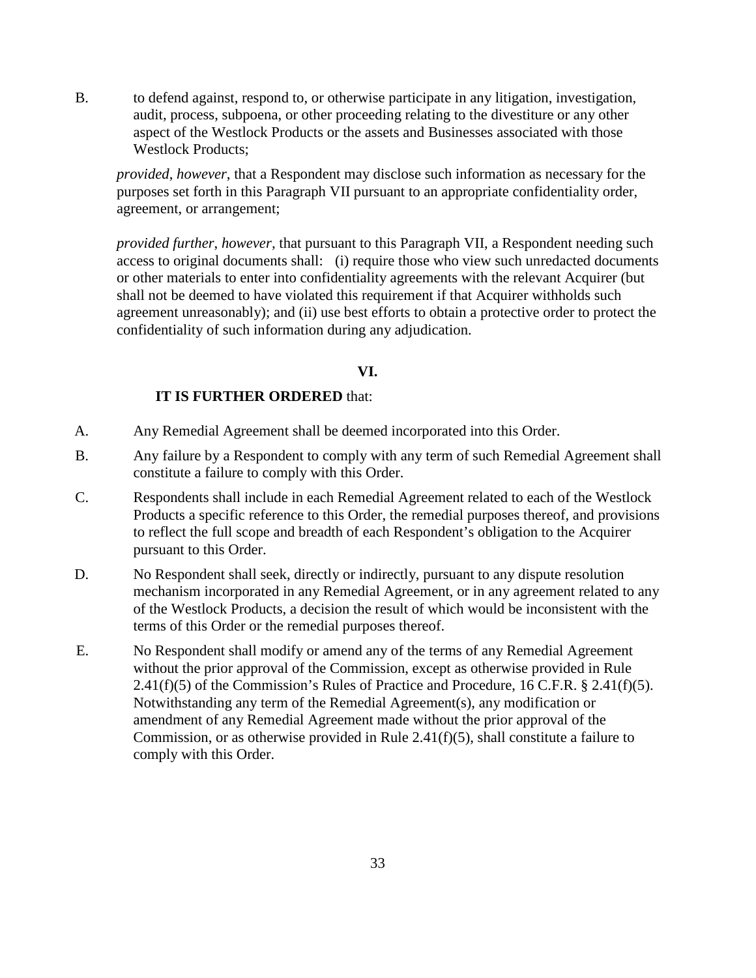B. to defend against, respond to, or otherwise participate in any litigation, investigation, audit, process, subpoena, or other proceeding relating to the divestiture or any other aspect of the Westlock Products or the assets and Businesses associated with those Westlock Products;

*provided*, *however*, that a Respondent may disclose such information as necessary for the purposes set forth in this Paragraph VII pursuant to an appropriate confidentiality order, agreement, or arrangement;

*provided further*, *however,* that pursuant to this Paragraph VII, a Respondent needing such access to original documents shall: (i) require those who view such unredacted documents or other materials to enter into confidentiality agreements with the relevant Acquirer (but shall not be deemed to have violated this requirement if that Acquirer withholds such agreement unreasonably); and (ii) use best efforts to obtain a protective order to protect the confidentiality of such information during any adjudication.

### **VI.**

## **IT IS FURTHER ORDERED** that:

- A. Any Remedial Agreement shall be deemed incorporated into this Order.
- B. Any failure by a Respondent to comply with any term of such Remedial Agreement shall constitute a failure to comply with this Order.
- C. Respondents shall include in each Remedial Agreement related to each of the Westlock Products a specific reference to this Order, the remedial purposes thereof, and provisions to reflect the full scope and breadth of each Respondent's obligation to the Acquirer pursuant to this Order.
- D. No Respondent shall seek, directly or indirectly, pursuant to any dispute resolution mechanism incorporated in any Remedial Agreement, or in any agreement related to any of the Westlock Products, a decision the result of which would be inconsistent with the terms of this Order or the remedial purposes thereof.
- E. No Respondent shall modify or amend any of the terms of any Remedial Agreement without the prior approval of the Commission, except as otherwise provided in Rule  $2.41(f)(5)$  of the Commission's Rules of Practice and Procedure, 16 C.F.R. § 2.41(f)(5). Notwithstanding any term of the Remedial Agreement(s), any modification or amendment of any Remedial Agreement made without the prior approval of the Commission, or as otherwise provided in Rule 2.41(f)(5), shall constitute a failure to comply with this Order.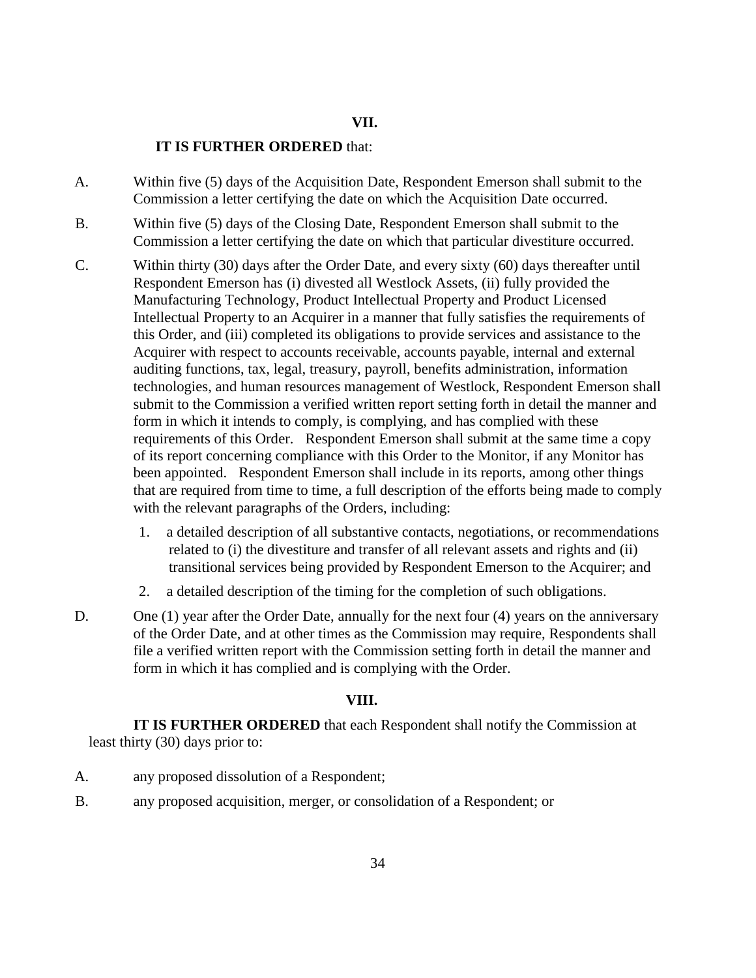### **VII.**

#### **IT IS FURTHER ORDERED** that:

- A. Within five (5) days of the Acquisition Date, Respondent Emerson shall submit to the Commission a letter certifying the date on which the Acquisition Date occurred.
- B. Within five (5) days of the Closing Date, Respondent Emerson shall submit to the Commission a letter certifying the date on which that particular divestiture occurred.
- C. Within thirty (30) days after the Order Date, and every sixty (60) days thereafter until Respondent Emerson has (i) divested all Westlock Assets, (ii) fully provided the Manufacturing Technology, Product Intellectual Property and Product Licensed Intellectual Property to an Acquirer in a manner that fully satisfies the requirements of this Order, and (iii) completed its obligations to provide services and assistance to the Acquirer with respect to accounts receivable, accounts payable, internal and external auditing functions, tax, legal, treasury, payroll, benefits administration, information technologies, and human resources management of Westlock, Respondent Emerson shall submit to the Commission a verified written report setting forth in detail the manner and form in which it intends to comply, is complying, and has complied with these requirements of this Order. Respondent Emerson shall submit at the same time a copy of its report concerning compliance with this Order to the Monitor, if any Monitor has been appointed. Respondent Emerson shall include in its reports, among other things that are required from time to time, a full description of the efforts being made to comply with the relevant paragraphs of the Orders, including:
	- 1. a detailed description of all substantive contacts, negotiations, or recommendations related to (i) the divestiture and transfer of all relevant assets and rights and (ii) transitional services being provided by Respondent Emerson to the Acquirer; and
	- 2. a detailed description of the timing for the completion of such obligations.
- D. One (1) year after the Order Date, annually for the next four (4) years on the anniversary of the Order Date, and at other times as the Commission may require, Respondents shall file a verified written report with the Commission setting forth in detail the manner and form in which it has complied and is complying with the Order.

## **VIII.**

**IT IS FURTHER ORDERED** that each Respondent shall notify the Commission at least thirty (30) days prior to:

- A. any proposed dissolution of a Respondent;
- B. any proposed acquisition, merger, or consolidation of a Respondent; or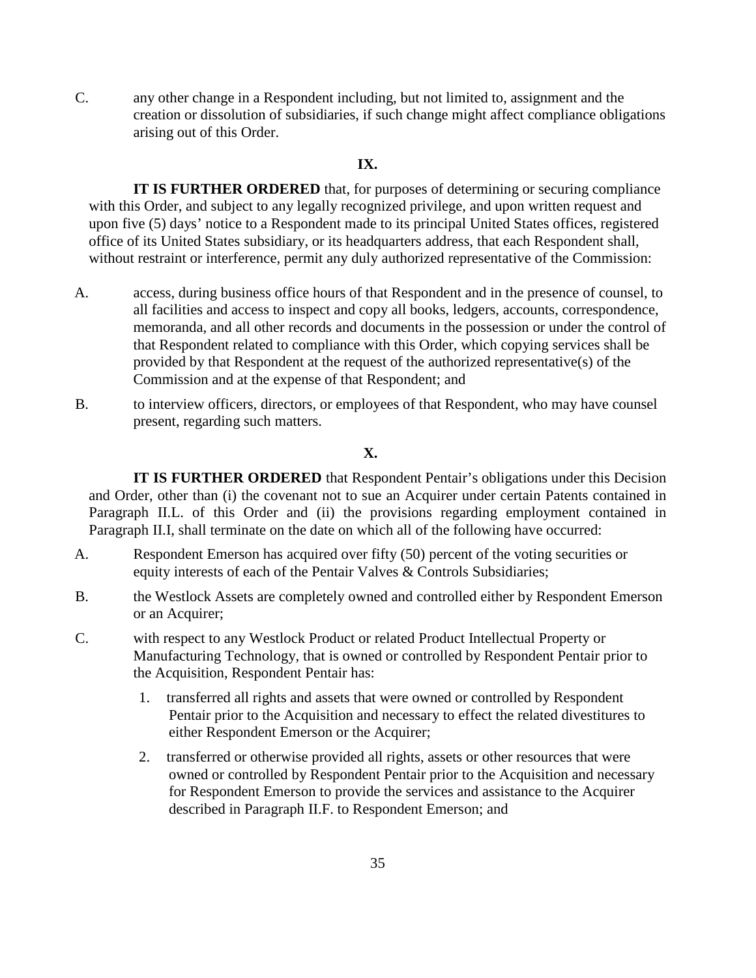C. any other change in a Respondent including, but not limited to, assignment and the creation or dissolution of subsidiaries, if such change might affect compliance obligations arising out of this Order.

## **IX.**

**IT IS FURTHER ORDERED** that, for purposes of determining or securing compliance with this Order, and subject to any legally recognized privilege, and upon written request and upon five (5) days' notice to a Respondent made to its principal United States offices, registered office of its United States subsidiary, or its headquarters address, that each Respondent shall, without restraint or interference, permit any duly authorized representative of the Commission:

- A. access, during business office hours of that Respondent and in the presence of counsel, to all facilities and access to inspect and copy all books, ledgers, accounts, correspondence, memoranda, and all other records and documents in the possession or under the control of that Respondent related to compliance with this Order, which copying services shall be provided by that Respondent at the request of the authorized representative(s) of the Commission and at the expense of that Respondent; and
- B. to interview officers, directors, or employees of that Respondent, who may have counsel present, regarding such matters.

#### **X.**

 **IT IS FURTHER ORDERED** that Respondent Pentair's obligations under this Decision and Order, other than (i) the covenant not to sue an Acquirer under certain Patents contained in Paragraph II.L. of this Order and (ii) the provisions regarding employment contained in Paragraph II.I, shall terminate on the date on which all of the following have occurred:

- A. Respondent Emerson has acquired over fifty (50) percent of the voting securities or equity interests of each of the Pentair Valves & Controls Subsidiaries;
- B. the Westlock Assets are completely owned and controlled either by Respondent Emerson or an Acquirer;
- C. with respect to any Westlock Product or related Product Intellectual Property or Manufacturing Technology, that is owned or controlled by Respondent Pentair prior to the Acquisition, Respondent Pentair has:
	- 1. transferred all rights and assets that were owned or controlled by Respondent Pentair prior to the Acquisition and necessary to effect the related divestitures to either Respondent Emerson or the Acquirer;
	- 2. transferred or otherwise provided all rights, assets or other resources that were owned or controlled by Respondent Pentair prior to the Acquisition and necessary for Respondent Emerson to provide the services and assistance to the Acquirer described in Paragraph II.F. to Respondent Emerson; and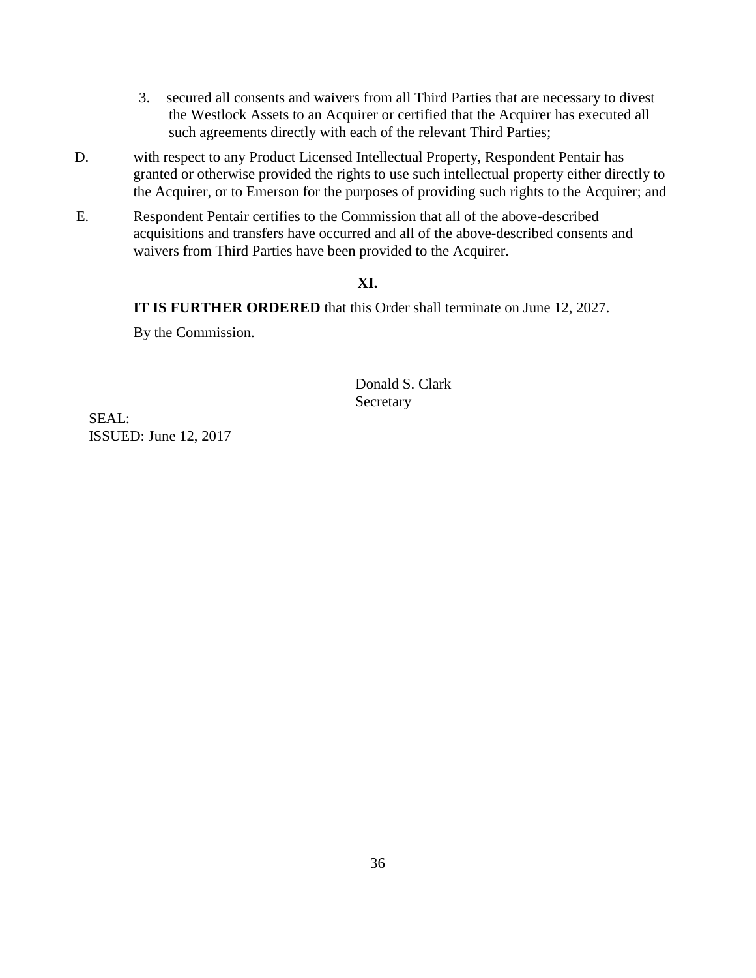- 3. secured all consents and waivers from all Third Parties that are necessary to divest the Westlock Assets to an Acquirer or certified that the Acquirer has executed all such agreements directly with each of the relevant Third Parties;
- D. with respect to any Product Licensed Intellectual Property, Respondent Pentair has granted or otherwise provided the rights to use such intellectual property either directly to the Acquirer, or to Emerson for the purposes of providing such rights to the Acquirer; and
- E. Respondent Pentair certifies to the Commission that all of the above-described acquisitions and transfers have occurred and all of the above-described consents and waivers from Third Parties have been provided to the Acquirer.

## **XI.**

**IT IS FURTHER ORDERED** that this Order shall terminate on June 12, 2027.

By the Commission.

Donald S. Clark Secretary

SEAL: ISSUED: June 12, 2017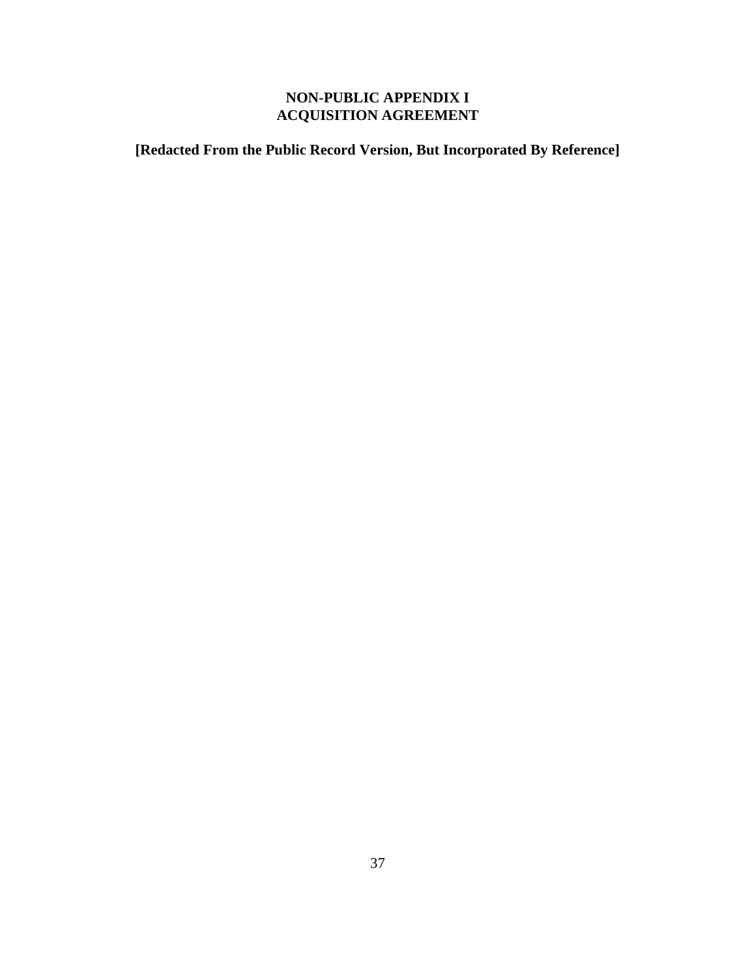# **NON-PUBLIC APPENDIX I ACQUISITION AGREEMENT**

**[Redacted From the Public Record Version, But Incorporated By Reference]**